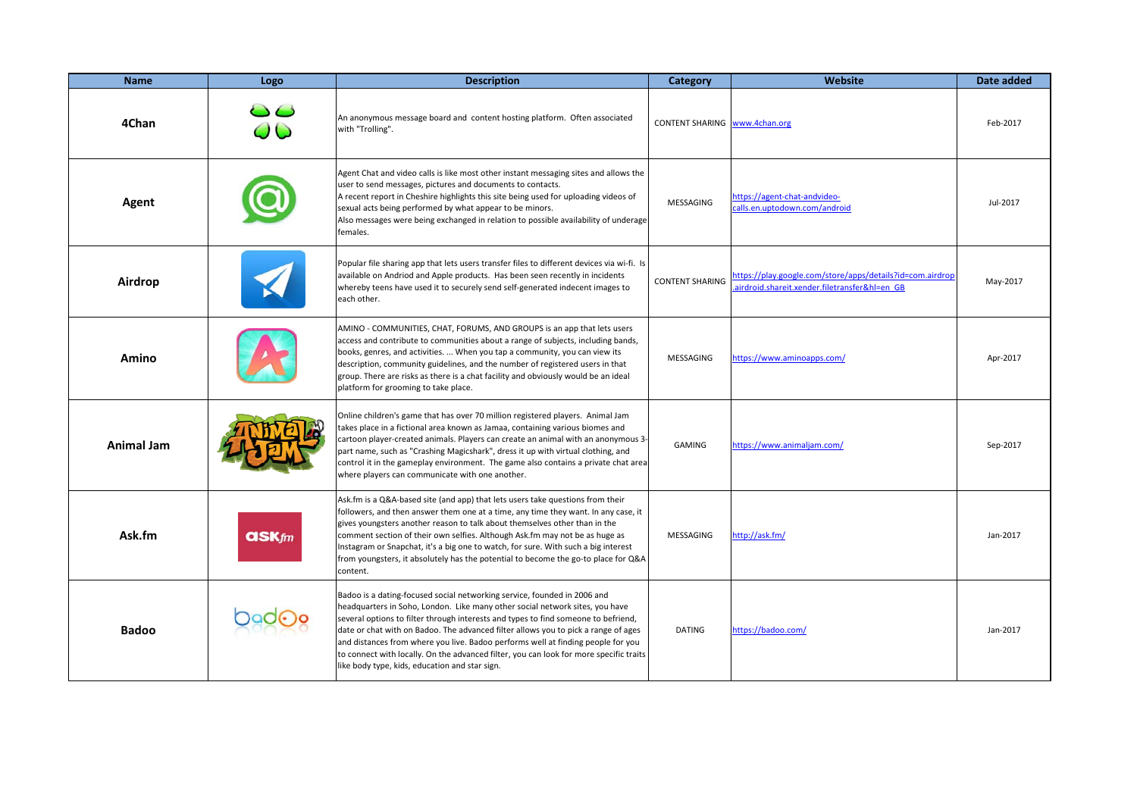| <b>Name</b>  | Logo         | <b>Description</b>                                                                                                                                                                                                                                                                                                                                                                                                                                                                                                                                                   | Category                      | Website                                                                                                    | Date added |
|--------------|--------------|----------------------------------------------------------------------------------------------------------------------------------------------------------------------------------------------------------------------------------------------------------------------------------------------------------------------------------------------------------------------------------------------------------------------------------------------------------------------------------------------------------------------------------------------------------------------|-------------------------------|------------------------------------------------------------------------------------------------------------|------------|
| 4Chan        | 00           | An anonymous message board and content hosting platform. Often associated<br>with "Trolling".                                                                                                                                                                                                                                                                                                                                                                                                                                                                        | CONTENT SHARING www.4chan.org |                                                                                                            | Feb-2017   |
| Agent        |              | Agent Chat and video calls is like most other instant messaging sites and allows the<br>user to send messages, pictures and documents to contacts.<br>A recent report in Cheshire highlights this site being used for uploading videos of<br>sexual acts being performed by what appear to be minors.<br>Also messages were being exchanged in relation to possible availability of underage<br>females.                                                                                                                                                             | MESSAGING                     | https://agent-chat-andvideo-<br>calls.en.uptodown.com/android                                              | Jul-2017   |
| Airdrop      |              | Popular file sharing app that lets users transfer files to different devices via wi-fi. Is<br>available on Andriod and Apple products. Has been seen recently in incidents<br>whereby teens have used it to securely send self-generated indecent images to<br>each other.                                                                                                                                                                                                                                                                                           | <b>CONTENT SHARING</b>        | https://play.google.com/store/apps/details?id=com.airdrop<br>airdroid.shareit.xender.filetransfer&hl=en GB | May-2017   |
| Amino        |              | AMINO - COMMUNITIES, CHAT, FORUMS, AND GROUPS is an app that lets users<br>access and contribute to communities about a range of subjects, including bands,<br>books, genres, and activities.  When you tap a community, you can view its<br>description, community guidelines, and the number of registered users in that<br>group. There are risks as there is a chat facility and obviously would be an ideal<br>platform for grooming to take place.                                                                                                             | MESSAGING                     | https://www.aminoapps.com/                                                                                 | Apr-2017   |
| Animal Jam   |              | Online children's game that has over 70 million registered players. Animal Jam<br>takes place in a fictional area known as Jamaa, containing various biomes and<br>cartoon player-created animals. Players can create an animal with an anonymous 3-<br>part name, such as "Crashing Magicshark", dress it up with virtual clothing, and<br>control it in the gameplay environment. The game also contains a private chat area<br>where players can communicate with one another.                                                                                    | GAMING                        | https://www.animaljam.com/                                                                                 | Sep-2017   |
| Ask.fm       | <b>askfm</b> | Ask.fm is a Q&A-based site (and app) that lets users take questions from their<br>followers, and then answer them one at a time, any time they want. In any case, it<br>gives youngsters another reason to talk about themselves other than in the<br>comment section of their own selfies. Although Ask.fm may not be as huge as<br>Instagram or Snapchat, it's a big one to watch, for sure. With such a big interest<br>from youngsters, it absolutely has the potential to become the go-to place for Q&A<br>content.                                            | MESSAGING                     | http://ask.fm/                                                                                             | Jan-2017   |
| <b>Badoo</b> |              | Badoo is a dating-focused social networking service, founded in 2006 and<br>headquarters in Soho, London. Like many other social network sites, you have<br>several options to filter through interests and types to find someone to befriend,<br>date or chat with on Badoo. The advanced filter allows you to pick a range of ages<br>and distances from where you live. Badoo performs well at finding people for you<br>to connect with locally. On the advanced filter, you can look for more specific traits<br>like body type, kids, education and star sign. | <b>DATING</b>                 | https://badoo.com/                                                                                         | Jan-2017   |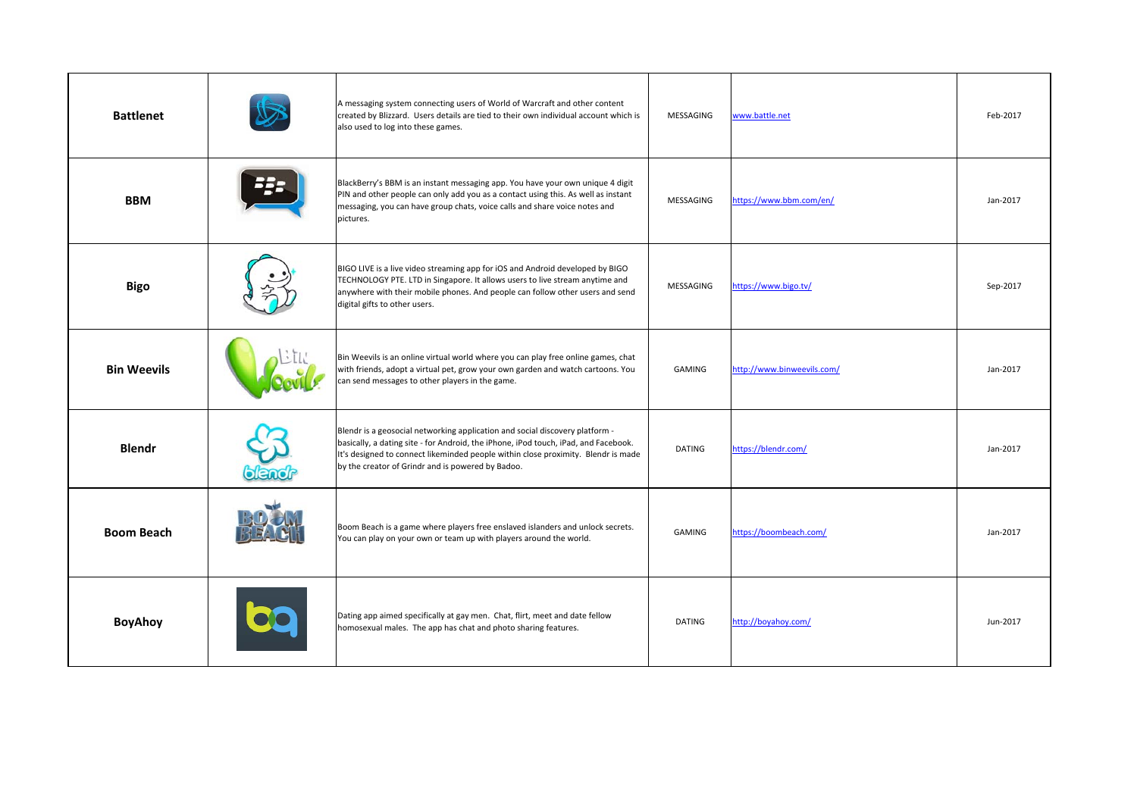| <b>Battlenet</b>   |       | A messaging system connecting users of World of Warcraft and other content<br>created by Blizzard. Users details are tied to their own individual account which is<br>also used to log into these games.                                                                                                      | MESSAGING     | www.battle.net             | Feb-2017 |
|--------------------|-------|---------------------------------------------------------------------------------------------------------------------------------------------------------------------------------------------------------------------------------------------------------------------------------------------------------------|---------------|----------------------------|----------|
| <b>BBM</b>         |       | BlackBerry's BBM is an instant messaging app. You have your own unique 4 digit<br>PIN and other people can only add you as a contact using this. As well as instant<br>messaging, you can have group chats, voice calls and share voice notes and<br>pictures.                                                | MESSAGING     | https://www.bbm.com/en/    | Jan-2017 |
| <b>Bigo</b>        |       | BIGO LIVE is a live video streaming app for iOS and Android developed by BIGO<br>TECHNOLOGY PTE. LTD in Singapore. It allows users to live stream anytime and<br>anywhere with their mobile phones. And people can follow other users and send<br>digital gifts to other users.                               | MESSAGING     | https://www.bigo.tv/       | Sep-2017 |
| <b>Bin Weevils</b> |       | Bin Weevils is an online virtual world where you can play free online games, chat<br>with friends, adopt a virtual pet, grow your own garden and watch cartoons. You<br>can send messages to other players in the game.                                                                                       | <b>GAMING</b> | http://www.binweevils.com/ | Jan-2017 |
| <b>Blendr</b>      | blend | Blendr is a geosocial networking application and social discovery platform -<br>basically, a dating site - for Android, the iPhone, iPod touch, iPad, and Facebook.<br>It's designed to connect likeminded people within close proximity. Blendr is made<br>by the creator of Grindr and is powered by Badoo. | <b>DATING</b> | https://blendr.com/        | Jan-2017 |
| <b>Boom Beach</b>  |       | Boom Beach is a game where players free enslaved islanders and unlock secrets.<br>You can play on your own or team up with players around the world.                                                                                                                                                          | <b>GAMING</b> | https://boombeach.com/     | Jan-2017 |
| <b>BoyAhoy</b>     |       | Dating app aimed specifically at gay men. Chat, flirt, meet and date fellow<br>homosexual males. The app has chat and photo sharing features.                                                                                                                                                                 | <b>DATING</b> | http://boyahoy.com/        | Jun-2017 |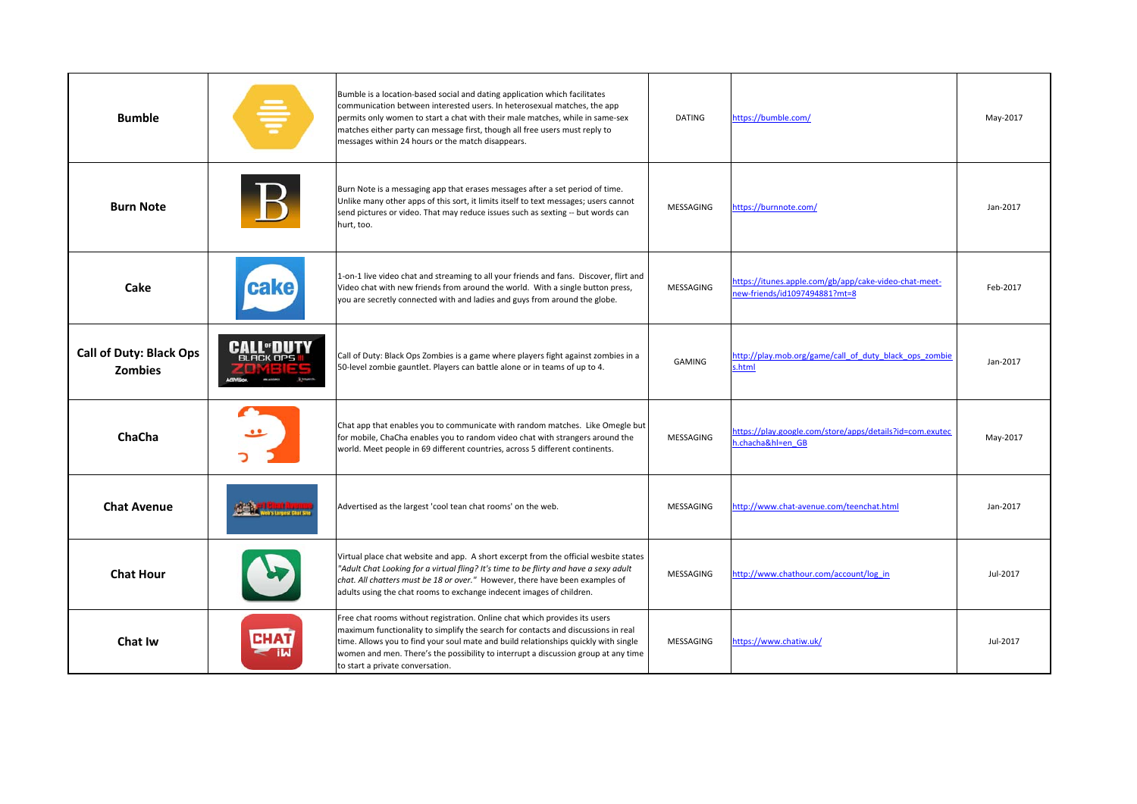| <b>Bumble</b>                                    |                                       | Bumble is a location-based social and dating application which facilitates<br>communication between interested users. In heterosexual matches, the app<br>permits only women to start a chat with their male matches, while in same-sex<br>matches either party can message first, though all free users must reply to<br>messages within 24 hours or the match disappears.      | <b>DATING</b> | https://bumble.com/                                                                  | May-2017 |
|--------------------------------------------------|---------------------------------------|----------------------------------------------------------------------------------------------------------------------------------------------------------------------------------------------------------------------------------------------------------------------------------------------------------------------------------------------------------------------------------|---------------|--------------------------------------------------------------------------------------|----------|
| <b>Burn Note</b>                                 |                                       | Burn Note is a messaging app that erases messages after a set period of time.<br>Unlike many other apps of this sort, it limits itself to text messages; users cannot<br>send pictures or video. That may reduce issues such as sexting -- but words can<br>hurt, too.                                                                                                           | MESSAGING     | https://burnnote.com/                                                                | Jan-2017 |
| Cake                                             | cake)                                 | 1-on-1 live video chat and streaming to all your friends and fans. Discover, flirt and<br>Video chat with new friends from around the world. With a single button press,<br>you are secretly connected with and ladies and guys from around the globe.                                                                                                                           | MESSAGING     | ttps://itunes.apple.com/gb/app/cake-video-chat-meet-<br>ew-friends/id1097494881?mt=8 | Feb-2017 |
| <b>Call of Duty: Black Ops</b><br><b>Zombies</b> | <b>CALL</b> "DUTY<br><b>BLACK OPS</b> | Call of Duty: Black Ops Zombies is a game where players fight against zombies in a<br>50-level zombie gauntlet. Players can battle alone or in teams of up to 4.                                                                                                                                                                                                                 | <b>GAMING</b> | ittp://play.mob.org/game/call of duty black ops zombie<br>.html                      | Jan-2017 |
| ChaCha                                           | $\bullet$                             | Chat app that enables you to communicate with random matches. Like Omegle but<br>for mobile, ChaCha enables you to random video chat with strangers around the<br>world. Meet people in 69 different countries, across 5 different continents.                                                                                                                                   | MESSAGING     | https://play.google.com/store/apps/details?id=com.exutec<br>.chacha&hl=en GB         | May-2017 |
| <b>Chat Avenue</b>                               |                                       | Advertised as the largest 'cool tean chat rooms' on the web.                                                                                                                                                                                                                                                                                                                     | MESSAGING     | http://www.chat-avenue.com/teenchat.html                                             | Jan-2017 |
| <b>Chat Hour</b>                                 |                                       | Virtual place chat website and app. A short excerpt from the official wesbite states<br>"Adult Chat Looking for a virtual fling? It's time to be flirty and have a sexy adult<br>chat. All chatters must be 18 or over." However, there have been examples of<br>adults using the chat rooms to exchange indecent images of children.                                            | MESSAGING     | http://www.chathour.com/account/log_in                                               | Jul-2017 |
| <b>Chat Iw</b>                                   | <b>CHAT</b>                           | Free chat rooms without registration. Online chat which provides its users<br>maximum functionality to simplify the search for contacts and discussions in real<br>time. Allows you to find your soul mate and build relationships quickly with single<br>women and men. There's the possibility to interrupt a discussion group at any time<br>to start a private conversation. | MESSAGING     | https://www.chatiw.uk/                                                               | Jul-2017 |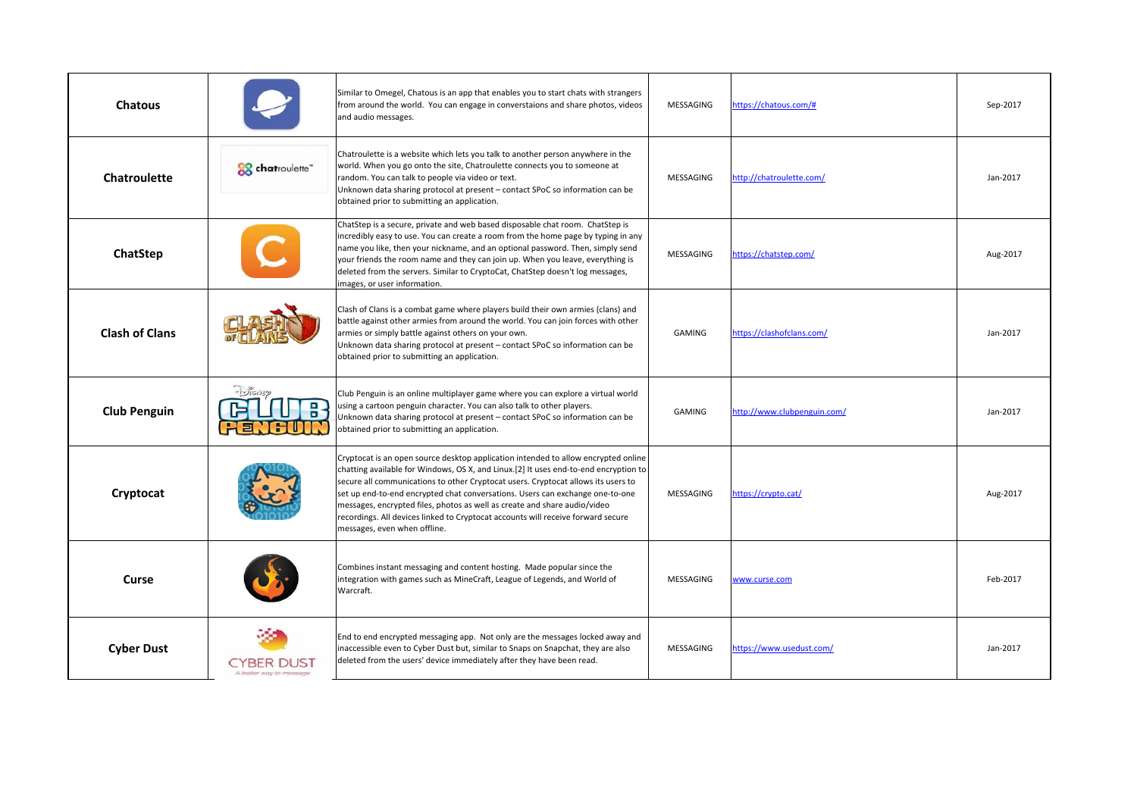| <b>Chatous</b>        |                                       | Similar to Omegel, Chatous is an app that enables you to start chats with strangers<br>from around the world. You can engage in converstaions and share photos, videos<br>and audio messages.                                                                                                                                                                                                                                                                                                                                                     | MESSAGING     | nttps://chatous.com/#      | Sep-2017 |
|-----------------------|---------------------------------------|---------------------------------------------------------------------------------------------------------------------------------------------------------------------------------------------------------------------------------------------------------------------------------------------------------------------------------------------------------------------------------------------------------------------------------------------------------------------------------------------------------------------------------------------------|---------------|----------------------------|----------|
| Chatroulette          | chatroulette"                         | Chatroulette is a website which lets you talk to another person anywhere in the<br>world. When you go onto the site, Chatroulette connects you to someone at<br>random. You can talk to people via video or text.<br>Unknown data sharing protocol at present - contact SPoC so information can be<br>obtained prior to submitting an application.                                                                                                                                                                                                | MESSAGING     | http://chatroulette.com/   | Jan-2017 |
| ChatStep              |                                       | ChatStep is a secure, private and web based disposable chat room. ChatStep is<br>incredibly easy to use. You can create a room from the home page by typing in any<br>name you like, then your nickname, and an optional password. Then, simply send<br>your friends the room name and they can join up. When you leave, everything is<br>deleted from the servers. Similar to CryptoCat, ChatStep doesn't log messages,<br>images, or user information.                                                                                          | MESSAGING     | sttps://chatstep.com/      | Aug-2017 |
| <b>Clash of Clans</b> |                                       | Clash of Clans is a combat game where players build their own armies (clans) and<br>battle against other armies from around the world. You can join forces with other<br>armies or simply battle against others on your own.<br>Unknown data sharing protocol at present - contact SPoC so information can be<br>obtained prior to submitting an application.                                                                                                                                                                                     | GAMING        | https://clashofclans.com/  | Jan-2017 |
| <b>Club Penguin</b>   | $-1005059$<br>김당                      | Club Penguin is an online multiplayer game where you can explore a virtual world<br>using a cartoon penguin character. You can also talk to other players.<br>Unknown data sharing protocol at present - contact SPoC so information can be<br>obtained prior to submitting an application.                                                                                                                                                                                                                                                       | <b>GAMING</b> | ttp://www.clubpenguin.com/ | Jan-2017 |
| Cryptocat             |                                       | Cryptocat is an open source desktop application intended to allow encrypted online<br>chatting available for Windows, OS X, and Linux.[2] It uses end-to-end encryption to<br>secure all communications to other Cryptocat users. Cryptocat allows its users to<br>set up end-to-end encrypted chat conversations. Users can exchange one-to-one<br>messages, encrypted files, photos as well as create and share audio/video<br>recordings. All devices linked to Cryptocat accounts will receive forward secure<br>messages, even when offline. | MESSAGING     | https://crypto.cat/        | Aug-2017 |
| Curse                 |                                       | Combines instant messaging and content hosting. Made popular since the<br>integration with games such as MineCraft, League of Legends, and World of<br>Warcraft.                                                                                                                                                                                                                                                                                                                                                                                  | MESSAGING     | www.curse.com              | Feb-2017 |
| <b>Cyber Dust</b>     | CYBER DUST<br>A better way to message | End to end encrypted messaging app. Not only are the messages locked away and<br>inaccessible even to Cyber Dust but, similar to Snaps on Snapchat, they are also<br>deleted from the users' device immediately after they have been read.                                                                                                                                                                                                                                                                                                        | MESSAGING     | https://www.usedust.com/   | Jan-2017 |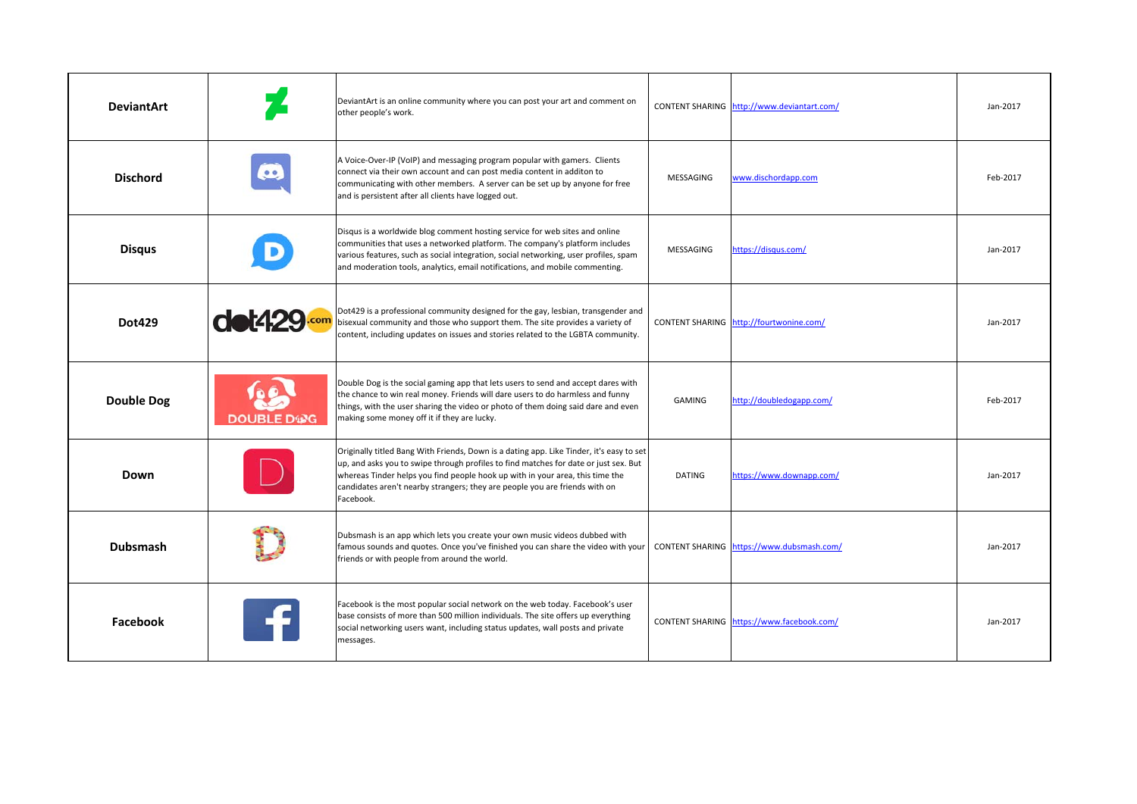| <b>DeviantArt</b> |                   | DeviantArt is an online community where you can post your art and comment on<br>other people's work.                                                                                                                                                                                                                                                          |               | CONTENT SHARING http://www.deviantart.com/ | Jan-2017 |
|-------------------|-------------------|---------------------------------------------------------------------------------------------------------------------------------------------------------------------------------------------------------------------------------------------------------------------------------------------------------------------------------------------------------------|---------------|--------------------------------------------|----------|
| <b>Dischord</b>   |                   | A Voice-Over-IP (VoIP) and messaging program popular with gamers. Clients<br>connect via their own account and can post media content in additon to<br>communicating with other members. A server can be set up by anyone for free<br>and is persistent after all clients have logged out.                                                                    | MESSAGING     | www.dischordapp.com                        | Feb-2017 |
| <b>Disqus</b>     |                   | Disqus is a worldwide blog comment hosting service for web sites and online<br>communities that uses a networked platform. The company's platform includes<br>various features, such as social integration, social networking, user profiles, spam<br>and moderation tools, analytics, email notifications, and mobile commenting.                            | MESSAGING     | https://disqus.com/                        | Jan-2017 |
| <b>Dot429</b>     | <b>dot429.com</b> | Dot429 is a professional community designed for the gay, lesbian, transgender and<br>bisexual community and those who support them. The site provides a variety of<br>content, including updates on issues and stories related to the LGBTA community.                                                                                                        |               | CONTENT SHARING http://fourtwonine.com/    | Jan-2017 |
| <b>Double Dog</b> | <b>DOUBLE DWG</b> | Double Dog is the social gaming app that lets users to send and accept dares with<br>the chance to win real money. Friends will dare users to do harmless and funny<br>things, with the user sharing the video or photo of them doing said dare and even<br>making some money off it if they are lucky.                                                       | GAMING        | http://doubledogapp.com/                   | Feb-2017 |
| Down              |                   | Originally titled Bang With Friends, Down is a dating app. Like Tinder, it's easy to set<br>up, and asks you to swipe through profiles to find matches for date or just sex. But<br>whereas Tinder helps you find people hook up with in your area, this time the<br>candidates aren't nearby strangers; they are people you are friends with on<br>Facebook. | <b>DATING</b> | https://www.downapp.com/                   | Jan-2017 |
| <b>Dubsmash</b>   |                   | Dubsmash is an app which lets you create your own music videos dubbed with<br>famous sounds and quotes. Once you've finished you can share the video with your<br>friends or with people from around the world.                                                                                                                                               |               | CONTENT SHARING https://www.dubsmash.com/  | Jan-2017 |
| Facebook          |                   | Facebook is the most popular social network on the web today. Facebook's user<br>base consists of more than 500 million individuals. The site offers up everything<br>social networking users want, including status updates, wall posts and private<br>messages.                                                                                             |               | CONTENT SHARING https://www.facebook.com/  | Jan-2017 |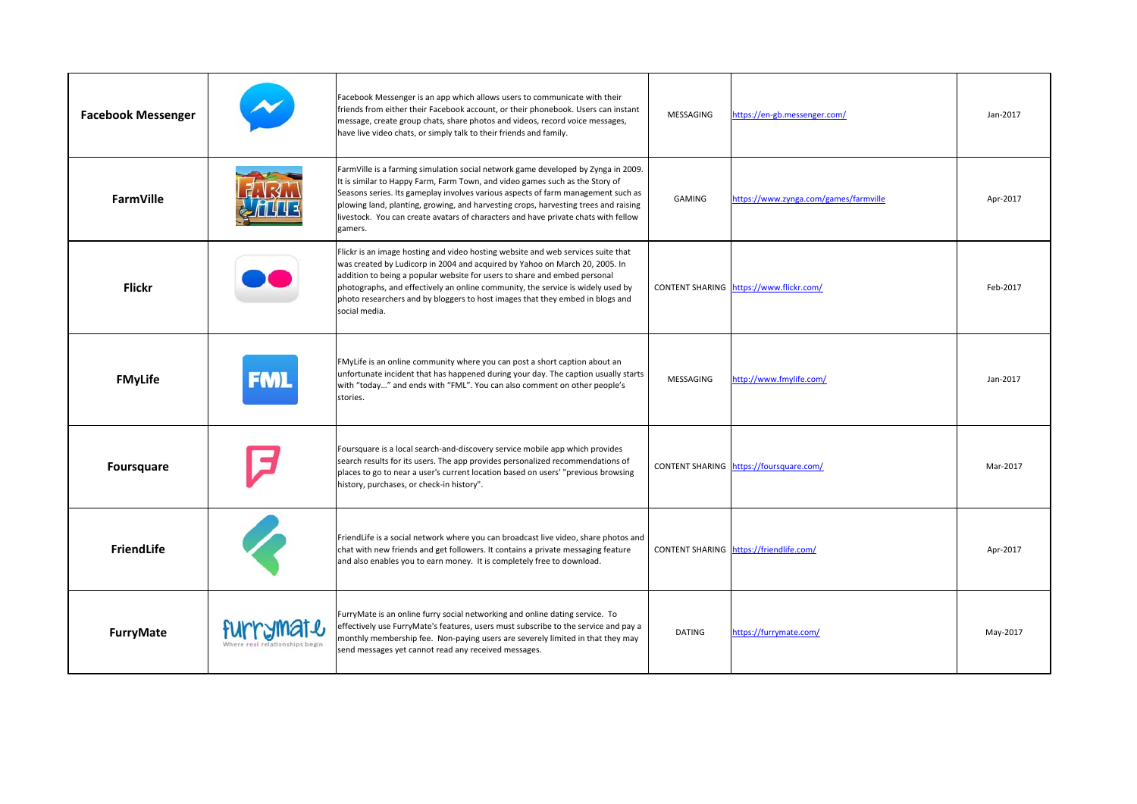| <b>Facebook Messenger</b> |            | Facebook Messenger is an app which allows users to communicate with their<br>friends from either their Facebook account, or their phonebook. Users can instant<br>message, create group chats, share photos and videos, record voice messages,<br>have live video chats, or simply talk to their friends and family.                                                                                                                          | MESSAGING     | https://en-gb.messenger.com/            | Jan-2017 |
|---------------------------|------------|-----------------------------------------------------------------------------------------------------------------------------------------------------------------------------------------------------------------------------------------------------------------------------------------------------------------------------------------------------------------------------------------------------------------------------------------------|---------------|-----------------------------------------|----------|
| FarmVille                 |            | FarmVille is a farming simulation social network game developed by Zynga in 2009.<br>It is similar to Happy Farm, Farm Town, and video games such as the Story of<br>Seasons series. Its gameplay involves various aspects of farm management such as<br>plowing land, planting, growing, and harvesting crops, harvesting trees and raising<br>livestock. You can create avatars of characters and have private chats with fellow<br>gamers. | GAMING        | https://www.zynga.com/games/farmville   | Apr-2017 |
| <b>Flickr</b>             |            | Flickr is an image hosting and video hosting website and web services suite that<br>was created by Ludicorp in 2004 and acquired by Yahoo on March 20, 2005. In<br>addition to being a popular website for users to share and embed personal<br>photographs, and effectively an online community, the service is widely used by<br>photo researchers and by bloggers to host images that they embed in blogs and<br>social media.             |               | CONTENT SHARING https://www.flickr.com/ | Feb-2017 |
| <b>FMyLife</b>            | <b>FML</b> | FMyLife is an online community where you can post a short caption about an<br>unfortunate incident that has happened during your day. The caption usually starts<br>with "today" and ends with "FML". You can also comment on other people's<br>stories.                                                                                                                                                                                      | MESSAGING     | http://www.fmylife.com/                 | Jan-2017 |
| <b>Foursquare</b>         |            | Foursquare is a local search-and-discovery service mobile app which provides<br>search results for its users. The app provides personalized recommendations of<br>places to go to near a user's current location based on users' "previous browsing<br>history, purchases, or check-in history".                                                                                                                                              |               | CONTENT SHARING https://foursquare.com/ | Mar-2017 |
| <b>FriendLife</b>         |            | FriendLife is a social network where you can broadcast live video, share photos and<br>chat with new friends and get followers. It contains a private messaging feature<br>and also enables you to earn money. It is completely free to download.                                                                                                                                                                                             |               | CONTENT SHARING https://friendlife.com/ | Apr-2017 |
| FurryMate                 |            | FurryMate is an online furry social networking and online dating service. To<br>effectively use FurryMate's features, users must subscribe to the service and pay a<br>monthly membership fee. Non-paying users are severely limited in that they may<br>send messages yet cannot read any received messages.                                                                                                                                 | <b>DATING</b> | https://furrymate.com/                  | May-2017 |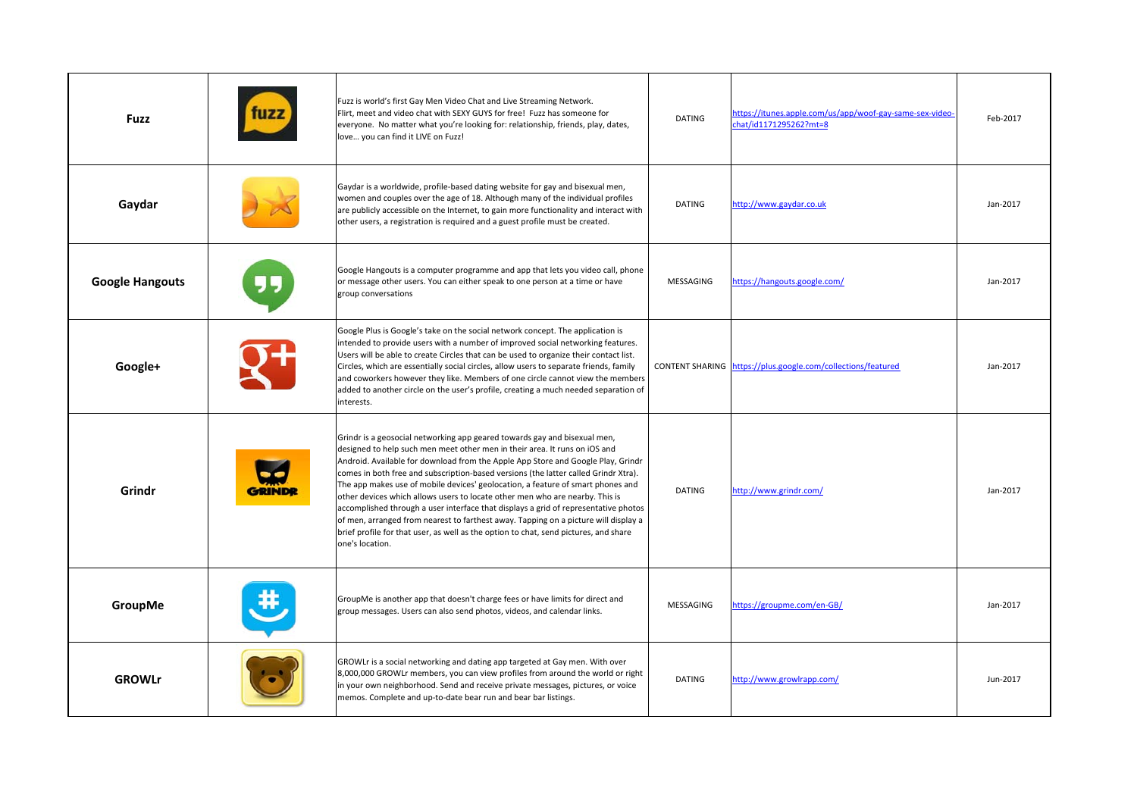| <b>Fuzz</b>            | Fuzz is world's first Gay Men Video Chat and Live Streaming Network.<br>Flirt, meet and video chat with SEXY GUYS for free! Fuzz has someone for<br>everyone. No matter what you're looking for: relationship, friends, play, dates,<br>love you can find it LIVE on Fuzz!                                                                                                                                                                                                                                                                                                                                                                                                                                                                                                                     | DATING        | https://itunes.apple.com/us/app/woof-gay-same-sex-video-<br>chat/id1171295262?mt=8 | Feb-2017 |
|------------------------|------------------------------------------------------------------------------------------------------------------------------------------------------------------------------------------------------------------------------------------------------------------------------------------------------------------------------------------------------------------------------------------------------------------------------------------------------------------------------------------------------------------------------------------------------------------------------------------------------------------------------------------------------------------------------------------------------------------------------------------------------------------------------------------------|---------------|------------------------------------------------------------------------------------|----------|
| Gaydar                 | Gaydar is a worldwide, profile-based dating website for gay and bisexual men,<br>women and couples over the age of 18. Although many of the individual profiles<br>are publicly accessible on the Internet, to gain more functionality and interact with<br>other users, a registration is required and a guest profile must be created.                                                                                                                                                                                                                                                                                                                                                                                                                                                       | <b>DATING</b> | http://www.gaydar.co.uk                                                            | Jan-2017 |
| <b>Google Hangouts</b> | Google Hangouts is a computer programme and app that lets you video call, phone<br>or message other users. You can either speak to one person at a time or have<br>group conversations                                                                                                                                                                                                                                                                                                                                                                                                                                                                                                                                                                                                         | MESSAGING     | https://hangouts.google.com/                                                       | Jan-2017 |
| Google+                | Google Plus is Google's take on the social network concept. The application is<br>intended to provide users with a number of improved social networking features.<br>Users will be able to create Circles that can be used to organize their contact list.<br>Circles, which are essentially social circles, allow users to separate friends, family<br>and coworkers however they like. Members of one circle cannot view the members<br>added to another circle on the user's profile, creating a much needed separation of<br>interests.                                                                                                                                                                                                                                                    |               | CONTENT SHARING https://plus.google.com/collections/featured                       | Jan-2017 |
| Grindr                 | Grindr is a geosocial networking app geared towards gay and bisexual men,<br>designed to help such men meet other men in their area. It runs on iOS and<br>Android. Available for download from the Apple App Store and Google Play, Grindr<br>comes in both free and subscription-based versions (the latter called Grindr Xtra).<br>The app makes use of mobile devices' geolocation, a feature of smart phones and<br>other devices which allows users to locate other men who are nearby. This is<br>accomplished through a user interface that displays a grid of representative photos<br>of men, arranged from nearest to farthest away. Tapping on a picture will display a<br>brief profile for that user, as well as the option to chat, send pictures, and share<br>one's location. | <b>DATING</b> | http://www.grindr.com/                                                             | Jan-2017 |
| GroupMe                | GroupMe is another app that doesn't charge fees or have limits for direct and<br>group messages. Users can also send photos, videos, and calendar links.                                                                                                                                                                                                                                                                                                                                                                                                                                                                                                                                                                                                                                       | MESSAGING     | https://groupme.com/en-GB/                                                         | Jan-2017 |
| <b>GROWLr</b>          | GROWLr is a social networking and dating app targeted at Gay men. With over<br>8,000,000 GROWLr members, you can view profiles from around the world or right<br>in your own neighborhood. Send and receive private messages, pictures, or voice<br>memos. Complete and up-to-date bear run and bear bar listings.                                                                                                                                                                                                                                                                                                                                                                                                                                                                             | DATING        | http://www.growlrapp.com/                                                          | Jun-2017 |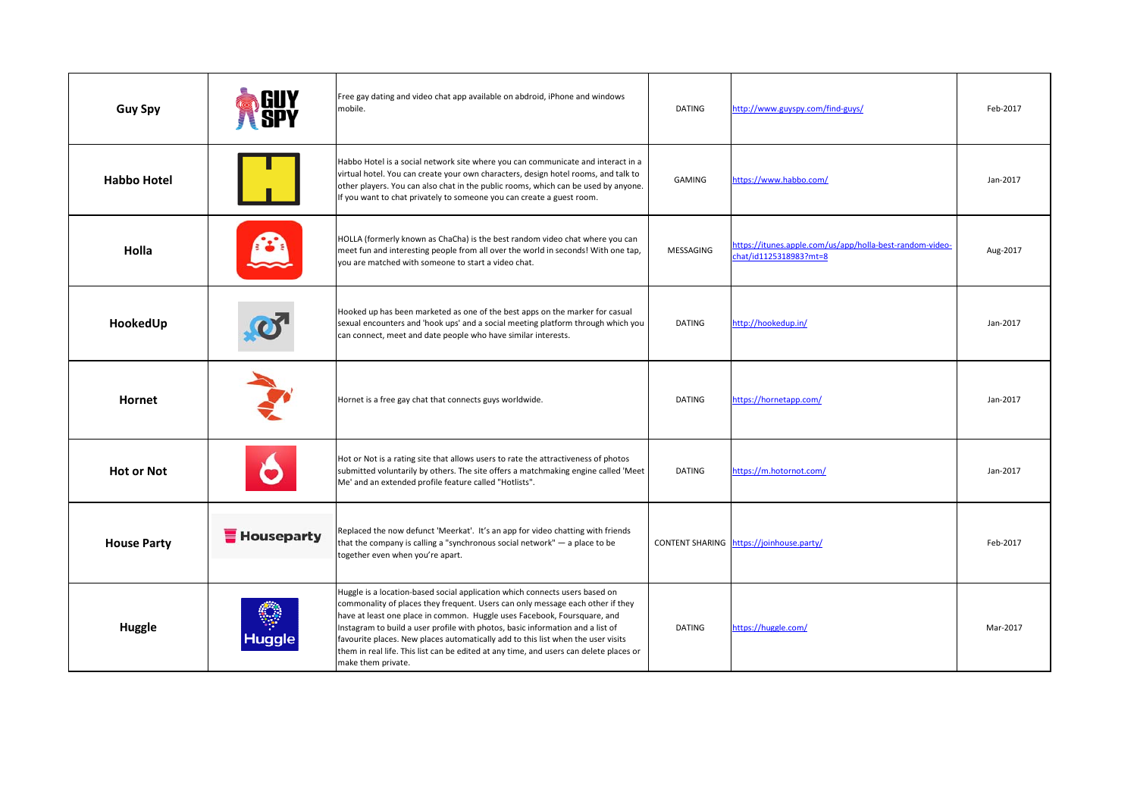| <b>Guy Spy</b>     |                   | Free gay dating and video chat app available on abdroid, iPhone and windows<br>mobile.                                                                                                                                                                                                                                                                                                                                                                                                                                          | <b>DATING</b> | http://www.guyspy.com/find-guys/                                                   | Feb-2017 |
|--------------------|-------------------|---------------------------------------------------------------------------------------------------------------------------------------------------------------------------------------------------------------------------------------------------------------------------------------------------------------------------------------------------------------------------------------------------------------------------------------------------------------------------------------------------------------------------------|---------------|------------------------------------------------------------------------------------|----------|
| <b>Habbo Hotel</b> |                   | Habbo Hotel is a social network site where you can communicate and interact in a<br>virtual hotel. You can create your own characters, design hotel rooms, and talk to<br>other players. You can also chat in the public rooms, which can be used by anyone.<br>If you want to chat privately to someone you can create a guest room.                                                                                                                                                                                           | GAMING        | https://www.habbo.com/                                                             | Jan-2017 |
| Holla              |                   | HOLLA (formerly known as ChaCha) is the best random video chat where you can<br>meet fun and interesting people from all over the world in seconds! With one tap,<br>you are matched with someone to start a video chat.                                                                                                                                                                                                                                                                                                        | MESSAGING     | https://itunes.apple.com/us/app/holla-best-random-video-<br>chat/id1125318983?mt=8 | Aug-2017 |
| HookedUp           |                   | Hooked up has been marketed as one of the best apps on the marker for casual<br>sexual encounters and 'hook ups' and a social meeting platform through which you<br>can connect, meet and date people who have similar interests.                                                                                                                                                                                                                                                                                               | DATING        | http://hookedup.in/                                                                | Jan-2017 |
| Hornet             |                   | Hornet is a free gay chat that connects guys worldwide.                                                                                                                                                                                                                                                                                                                                                                                                                                                                         | <b>DATING</b> | https://hornetapp.com/                                                             | Jan-2017 |
| <b>Hot or Not</b>  |                   | Hot or Not is a rating site that allows users to rate the attractiveness of photos<br>submitted voluntarily by others. The site offers a matchmaking engine called 'Meet<br>Me' and an extended profile feature called "Hotlists".                                                                                                                                                                                                                                                                                              | <b>DATING</b> | https://m.hotornot.com/                                                            | Jan-2017 |
| <b>House Party</b> | <b>Houseparty</b> | Replaced the now defunct 'Meerkat'. It's an app for video chatting with friends<br>that the company is calling a "synchronous social network" $-$ a place to be<br>together even when you're apart.                                                                                                                                                                                                                                                                                                                             |               | CONTENT SHARING https://joinhouse.party/                                           | Feb-2017 |
| <b>Huggle</b>      | Huggle            | Huggle is a location-based social application which connects users based on<br>commonality of places they frequent. Users can only message each other if they<br>have at least one place in common. Huggle uses Facebook, Foursquare, and<br>Instagram to build a user profile with photos, basic information and a list of<br>favourite places. New places automatically add to this list when the user visits<br>them in real life. This list can be edited at any time, and users can delete places or<br>make them private. | <b>DATING</b> | https://huggle.com/                                                                | Mar-2017 |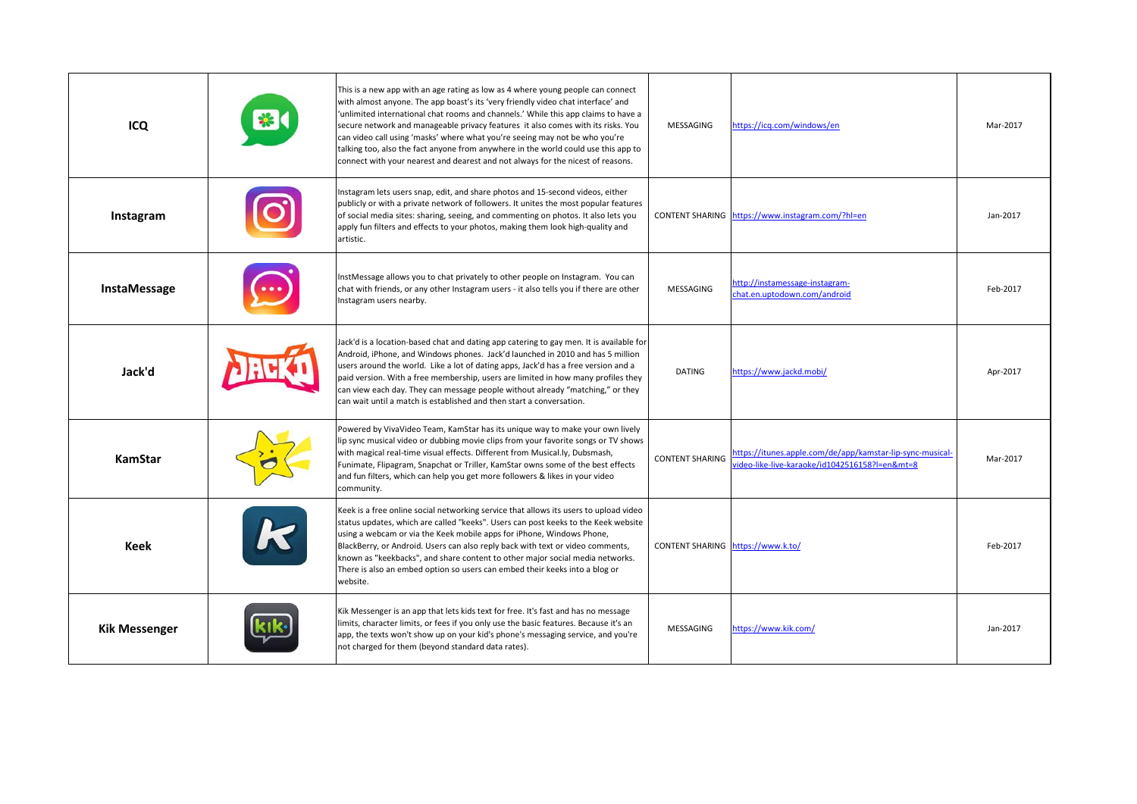| ICQ                  | This is a new app with an age rating as low as 4 where young people can connect<br>with almost anyone. The app boast's its 'very friendly video chat interface' and<br>'unlimited international chat rooms and channels.' While this app claims to have a<br>secure network and manageable privacy features it also comes with its risks. You<br>can video call using 'masks' where what you're seeing may not be who you're<br>talking too, also the fact anyone from anywhere in the world could use this app to<br>connect with your nearest and dearest and not always for the nicest of reasons. | MESSAGING                         | https://icq.com/windows/en                                                                                  | Mar-2017 |
|----------------------|-------------------------------------------------------------------------------------------------------------------------------------------------------------------------------------------------------------------------------------------------------------------------------------------------------------------------------------------------------------------------------------------------------------------------------------------------------------------------------------------------------------------------------------------------------------------------------------------------------|-----------------------------------|-------------------------------------------------------------------------------------------------------------|----------|
| Instagram            | Instagram lets users snap, edit, and share photos and 15-second videos, either<br>publicly or with a private network of followers. It unites the most popular features<br>of social media sites: sharing, seeing, and commenting on photos. It also lets you<br>apply fun filters and effects to your photos, making them look high-quality and<br>artistic.                                                                                                                                                                                                                                          |                                   | CONTENT SHARING https://www.instagram.com/?hl=en                                                            | Jan-2017 |
| InstaMessage         | InstMessage allows you to chat privately to other people on Instagram. You can<br>chat with friends, or any other Instagram users - it also tells you if there are other<br>Instagram users nearby.                                                                                                                                                                                                                                                                                                                                                                                                   | <b>MESSAGING</b>                  | http://instamessage-instagram-<br>hat.en.uptodown.com/android                                               | Feb-2017 |
| Jack'd               | Jack'd is a location-based chat and dating app catering to gay men. It is available for<br>Android, iPhone, and Windows phones. Jack'd launched in 2010 and has 5 million<br>users around the world. Like a lot of dating apps, Jack'd has a free version and a<br>paid version. With a free membership, users are limited in how many profiles they<br>can view each day. They can message people without already "matching," or they<br>can wait until a match is established and then start a conversation.                                                                                        | <b>DATING</b>                     | https://www.jackd.mobi/                                                                                     | Apr-2017 |
| KamStar              | Powered by VivaVideo Team, KamStar has its unique way to make your own lively<br>lip sync musical video or dubbing movie clips from your favorite songs or TV shows<br>with magical real-time visual effects. Different from Musical.ly, Dubsmash,<br>Funimate, Flipagram, Snapchat or Triller, KamStar owns some of the best effects<br>and fun filters, which can help you get more followers & likes in your video<br>community.                                                                                                                                                                   | <b>CONTENT SHARING</b>            | https://itunes.apple.com/de/app/kamstar-lip-sync-musical-<br>video-like-live-karaoke/id1042516158?l=en&mt=8 | Mar-2017 |
| Keek                 | Keek is a free online social networking service that allows its users to upload video<br>status updates, which are called "keeks". Users can post keeks to the Keek website<br>using a webcam or via the Keek mobile apps for iPhone, Windows Phone,<br>BlackBerry, or Android. Users can also reply back with text or video comments,<br>known as "keekbacks", and share content to other major social media networks.<br>There is also an embed option so users can embed their keeks into a blog or<br>website.                                                                                    | CONTENT SHARING https://www.k.to/ |                                                                                                             | Feb-2017 |
| <b>Kik Messenger</b> | Kik Messenger is an app that lets kids text for free. It's fast and has no message<br>limits, character limits, or fees if you only use the basic features. Because it's an<br>app, the texts won't show up on your kid's phone's messaging service, and you're<br>not charged for them (beyond standard data rates).                                                                                                                                                                                                                                                                                 | MESSAGING                         | https://www.kik.com/                                                                                        | Jan-2017 |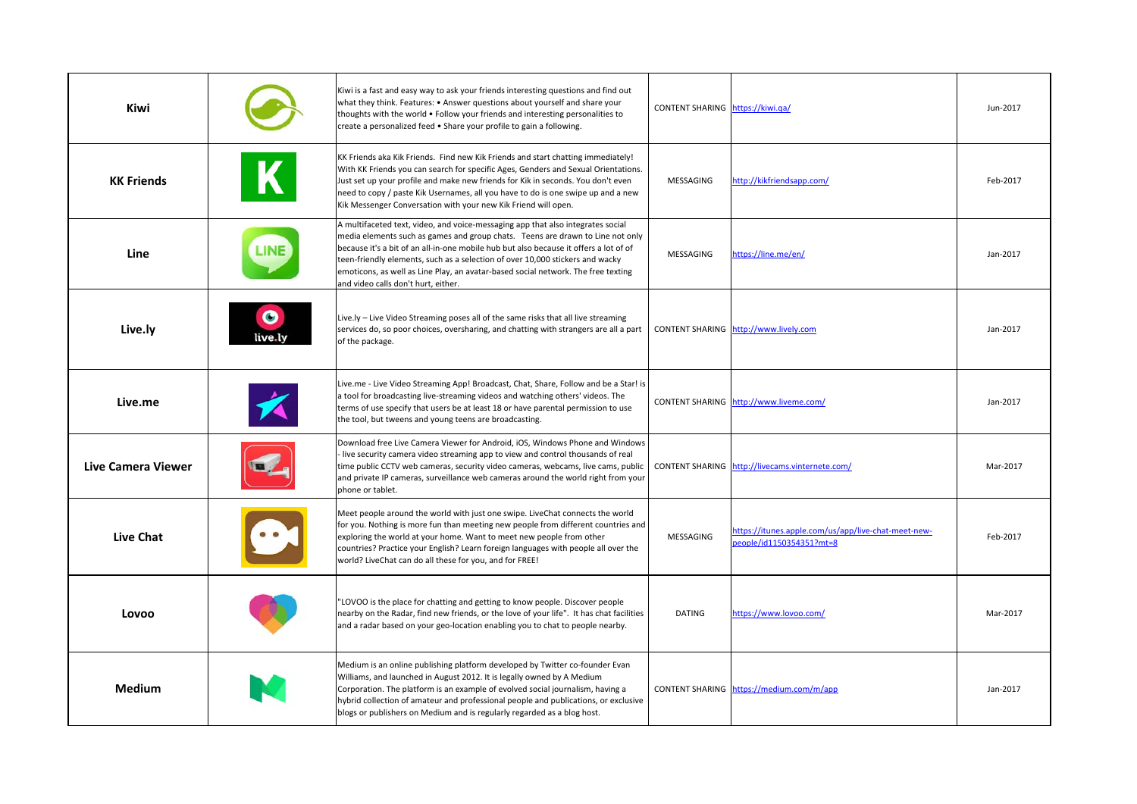| <b>Kiwi</b>               |                      | Kiwi is a fast and easy way to ask your friends interesting questions and find out<br>what they think. Features: • Answer questions about yourself and share your<br>thoughts with the world • Follow your friends and interesting personalities to<br>create a personalized feed . Share your profile to gain a following.                                                                                                                                             | CONTENT SHARING https://kiwi.qa/ |                                                                                | Jun-2017 |
|---------------------------|----------------------|-------------------------------------------------------------------------------------------------------------------------------------------------------------------------------------------------------------------------------------------------------------------------------------------------------------------------------------------------------------------------------------------------------------------------------------------------------------------------|----------------------------------|--------------------------------------------------------------------------------|----------|
| <b>KK Friends</b>         |                      | KK Friends aka Kik Friends. Find new Kik Friends and start chatting immediately!<br>With KK Friends you can search for specific Ages, Genders and Sexual Orientations.<br>Just set up your profile and make new friends for Kik in seconds. You don't even<br>need to copy / paste Kik Usernames, all you have to do is one swipe up and a new<br>Kik Messenger Conversation with your new Kik Friend will open.                                                        | MESSAGING                        | http://kikfriendsapp.com/                                                      | Feb-2017 |
| Line                      |                      | A multifaceted text, video, and voice-messaging app that also integrates social<br>media elements such as games and group chats. Teens are drawn to Line not only<br>because it's a bit of an all-in-one mobile hub but also because it offers a lot of of<br>teen-friendly elements, such as a selection of over 10,000 stickers and wacky<br>emoticons, as well as Line Play, an avatar-based social network. The free texting<br>and video calls don't hurt, either. | MESSAGING                        | https://line.me/en/                                                            | Jan-2017 |
| Live.ly                   | $\bullet$<br>live.ly | Live.ly - Live Video Streaming poses all of the same risks that all live streaming<br>services do, so poor choices, oversharing, and chatting with strangers are all a part<br>of the package.                                                                                                                                                                                                                                                                          |                                  | CONTENT SHARING http://www.lively.com                                          | Jan-2017 |
| Live.me                   |                      | Live.me - Live Video Streaming App! Broadcast, Chat, Share, Follow and be a Star! is<br>a tool for broadcasting live-streaming videos and watching others' videos. The<br>terms of use specify that users be at least 18 or have parental permission to use<br>the tool, but tweens and young teens are broadcasting.                                                                                                                                                   |                                  | CONTENT SHARING http://www.liveme.com/                                         | Jan-2017 |
| <b>Live Camera Viewer</b> |                      | Download free Live Camera Viewer for Android, iOS, Windows Phone and Windows<br>live security camera video streaming app to view and control thousands of real<br>time public CCTV web cameras, security video cameras, webcams, live cams, public<br>and private IP cameras, surveillance web cameras around the world right from your<br>phone or tablet.                                                                                                             |                                  | CONTENT SHARING http://livecams.vinternete.com/                                | Mar-2017 |
| <b>Live Chat</b>          |                      | Meet people around the world with just one swipe. LiveChat connects the world<br>for you. Nothing is more fun than meeting new people from different countries and<br>exploring the world at your home. Want to meet new people from other<br>countries? Practice your English? Learn foreign languages with people all over the<br>world? LiveChat can do all these for you, and for FREE!                                                                             | MESSAGING                        | https://itunes.apple.com/us/app/live-chat-meet-new-<br>eople/id1150354351?mt=8 | Feb-2017 |
| Lovoo                     |                      | "LOVOO is the place for chatting and getting to know people. Discover people<br>nearby on the Radar, find new friends, or the love of your life". It has chat facilities<br>and a radar based on your geo-location enabling you to chat to people nearby.                                                                                                                                                                                                               | <b>DATING</b>                    | https://www.lovoo.com/                                                         | Mar-2017 |
| <b>Medium</b>             |                      | Medium is an online publishing platform developed by Twitter co-founder Evan<br>Williams, and launched in August 2012. It is legally owned by A Medium<br>Corporation. The platform is an example of evolved social journalism, having a<br>hybrid collection of amateur and professional people and publications, or exclusive<br>blogs or publishers on Medium and is regularly regarded as a blog host.                                                              |                                  | CONTENT SHARING https://medium.com/m/app                                       | Jan-2017 |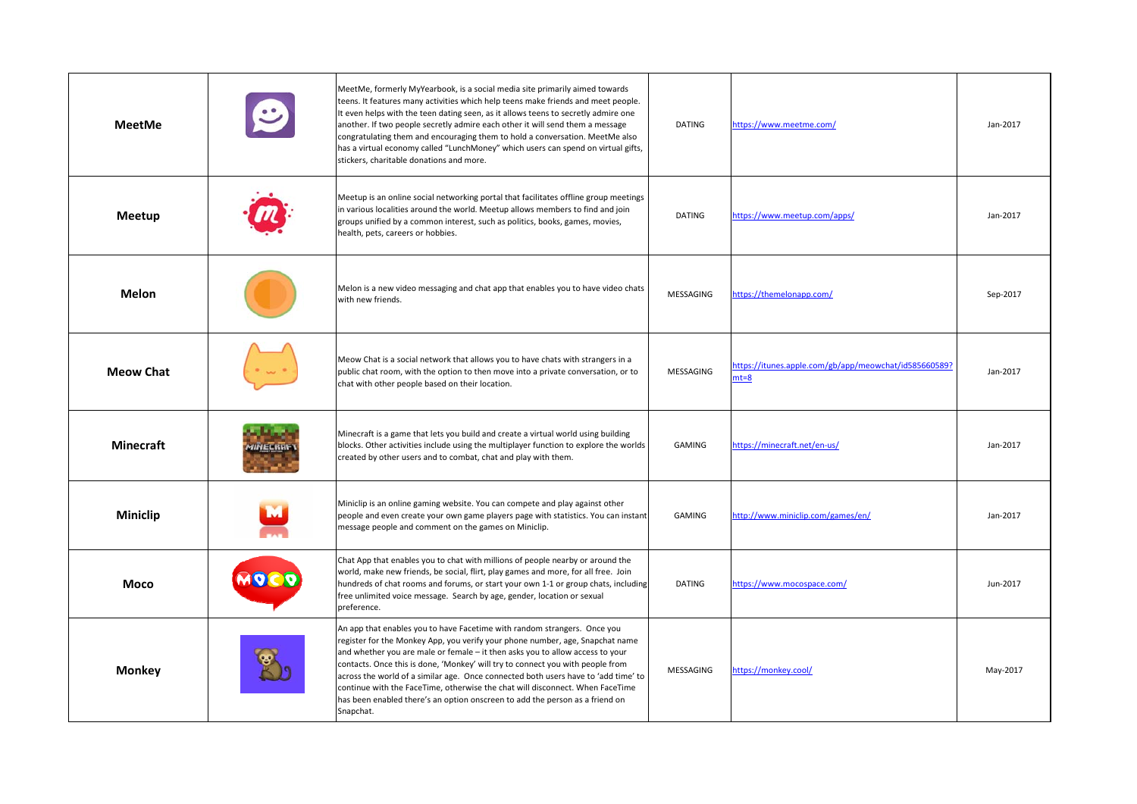| <b>MeetMe</b>    | $\mathbf{C}$ | MeetMe, formerly MyYearbook, is a social media site primarily aimed towards<br>teens. It features many activities which help teens make friends and meet people.<br>It even helps with the teen dating seen, as it allows teens to secretly admire one<br>another. If two people secretly admire each other it will send them a message<br>congratulating them and encouraging them to hold a conversation. MeetMe also<br>has a virtual economy called "LunchMoney" which users can spend on virtual gifts,<br>stickers, charitable donations and more.                                         | <b>DATING</b> | https://www.meetme.com/                                           | Jan-2017 |
|------------------|--------------|--------------------------------------------------------------------------------------------------------------------------------------------------------------------------------------------------------------------------------------------------------------------------------------------------------------------------------------------------------------------------------------------------------------------------------------------------------------------------------------------------------------------------------------------------------------------------------------------------|---------------|-------------------------------------------------------------------|----------|
| Meetup           |              | Meetup is an online social networking portal that facilitates offline group meetings<br>in various localities around the world. Meetup allows members to find and join<br>groups unified by a common interest, such as politics, books, games, movies,<br>health, pets, careers or hobbies.                                                                                                                                                                                                                                                                                                      | <b>DATING</b> | https://www.meetup.com/apps/                                      | Jan-2017 |
| <b>Melon</b>     |              | Melon is a new video messaging and chat app that enables you to have video chats<br>with new friends.                                                                                                                                                                                                                                                                                                                                                                                                                                                                                            | MESSAGING     | https://themelonapp.com/                                          | Sep-2017 |
| <b>Meow Chat</b> |              | Meow Chat is a social network that allows you to have chats with strangers in a<br>public chat room, with the option to then move into a private conversation, or to<br>chat with other people based on their location.                                                                                                                                                                                                                                                                                                                                                                          | MESSAGING     | https://itunes.apple.com/gb/app/meowchat/id585660589?<br>$nt = 8$ | Jan-2017 |
| <b>Minecraft</b> |              | Minecraft is a game that lets you build and create a virtual world using building<br>blocks. Other activities include using the multiplayer function to explore the worlds<br>created by other users and to combat, chat and play with them.                                                                                                                                                                                                                                                                                                                                                     | GAMING        | https://minecraft.net/en-us/                                      | Jan-2017 |
| Miniclip         |              | Miniclip is an online gaming website. You can compete and play against other<br>people and even create your own game players page with statistics. You can instant<br>message people and comment on the games on Miniclip.                                                                                                                                                                                                                                                                                                                                                                       | GAMING        | http://www.miniclip.com/games/en/                                 | Jan-2017 |
| Moco             | MOCO         | Chat App that enables you to chat with millions of people nearby or around the<br>world, make new friends, be social, flirt, play games and more, for all free. Join<br>hundreds of chat rooms and forums, or start your own 1-1 or group chats, including<br>free unlimited voice message. Search by age, gender, location or sexual<br>preference.                                                                                                                                                                                                                                             | <b>DATING</b> | https://www.mocospace.com/                                        | Jun-2017 |
| <b>Monkey</b>    |              | An app that enables you to have Facetime with random strangers. Once you<br>register for the Monkey App, you verify your phone number, age, Snapchat name<br>and whether you are male or female - it then asks you to allow access to your<br>contacts. Once this is done, 'Monkey' will try to connect you with people from<br>across the world of a similar age. Once connected both users have to 'add time' to<br>continue with the FaceTime, otherwise the chat will disconnect. When FaceTime<br>has been enabled there's an option onscreen to add the person as a friend on<br>Snapchat. | MESSAGING     | https://monkey.cool/                                              | May-2017 |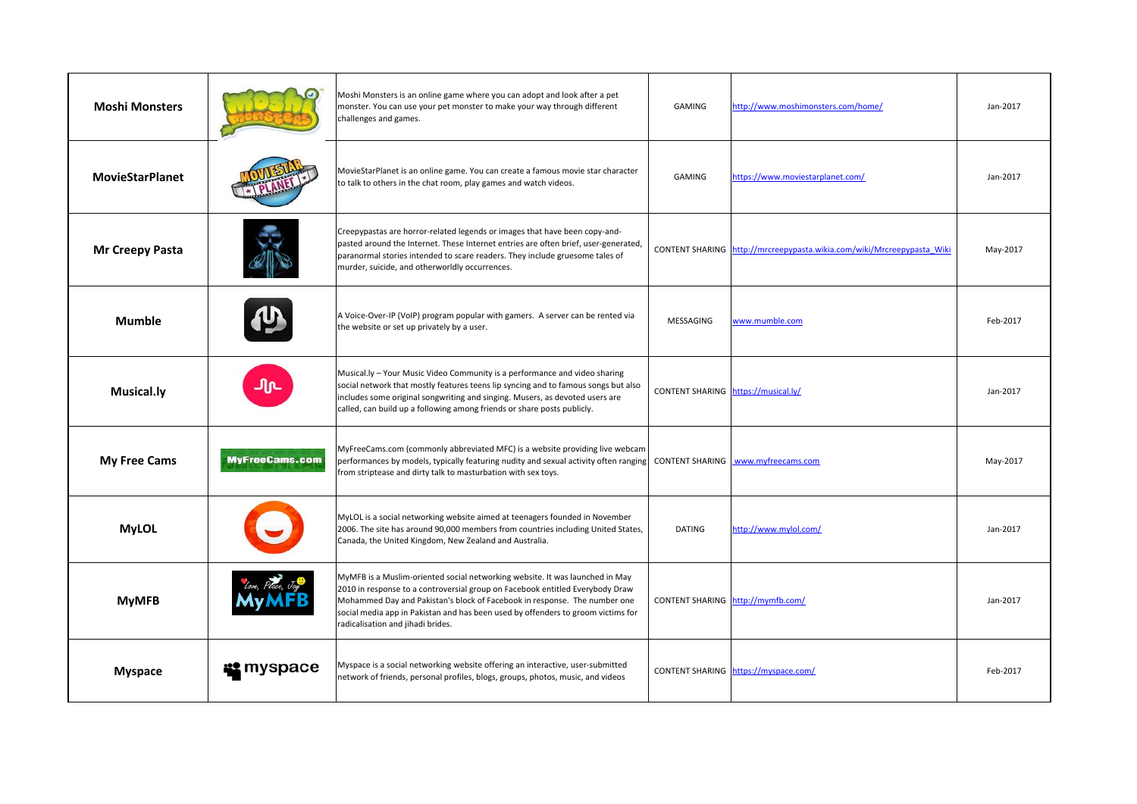| <b>Moshi Monsters</b>  |                       | Moshi Monsters is an online game where you can adopt and look after a pet<br>monster. You can use your pet monster to make your way through different<br>challenges and games.                                                                                                                                                                                      | GAMING                              | http://www.moshimonsters.com/home/                                     | Jan-2017 |
|------------------------|-----------------------|---------------------------------------------------------------------------------------------------------------------------------------------------------------------------------------------------------------------------------------------------------------------------------------------------------------------------------------------------------------------|-------------------------------------|------------------------------------------------------------------------|----------|
| <b>MovieStarPlanet</b> |                       | MovieStarPlanet is an online game. You can create a famous movie star character<br>to talk to others in the chat room, play games and watch videos.                                                                                                                                                                                                                 | GAMING                              | https://www.moviestarplanet.com/                                       | Jan-2017 |
| <b>Mr Creepy Pasta</b> |                       | Creepypastas are horror-related legends or images that have been copy-and-<br>pasted around the Internet. These Internet entries are often brief, user-generated,<br>paranormal stories intended to scare readers. They include gruesome tales of<br>murder, suicide, and otherworldly occurrences.                                                                 |                                     | CONTENT SHARING http://mrcreepypasta.wikia.com/wiki/Mrcreepypasta Wiki | May-2017 |
| <b>Mumble</b>          |                       | A Voice-Over-IP (VoIP) program popular with gamers. A server can be rented via<br>the website or set up privately by a user.                                                                                                                                                                                                                                        | MESSAGING                           | www.mumble.com                                                         | Feb-2017 |
| <b>Musical.ly</b>      | Պռ                    | Musical.ly - Your Music Video Community is a performance and video sharing<br>social network that mostly features teens lip syncing and to famous songs but also<br>includes some original songwriting and singing. Musers, as devoted users are<br>called, can build up a following among friends or share posts publicly.                                         | CONTENT SHARING https://musical.ly/ |                                                                        | Jan-2017 |
| <b>My Free Cams</b>    | <b>MyFreeCams.com</b> | MyFreeCams.com (commonly abbreviated MFC) is a website providing live webcam<br>performances by models, typically featuring nudity and sexual activity often ranging<br>from striptease and dirty talk to masturbation with sex toys.                                                                                                                               |                                     | CONTENT SHARING   www.myfreecams.com                                   | May-2017 |
| <b>MyLOL</b>           |                       | MyLOL is a social networking website aimed at teenagers founded in November<br>2006. The site has around 90,000 members from countries including United States,<br>Canada, the United Kingdom, New Zealand and Australia.                                                                                                                                           | <b>DATING</b>                       | http://www.mylol.com/                                                  | Jan-2017 |
| <b>MyMFB</b>           |                       | MyMFB is a Muslim-oriented social networking website. It was launched in May<br>2010 in response to a controversial group on Facebook entitled Everybody Draw<br>Mohammed Day and Pakistan's block of Facebook in response. The number one<br>social media app in Pakistan and has been used by offenders to groom victims for<br>radicalisation and jihadi brides. |                                     | CONTENT SHARING http://mymfb.com/                                      | Jan-2017 |
| <b>Myspace</b>         | <b>is</b> myspace     | Myspace is a social networking website offering an interactive, user-submitted<br>network of friends, personal profiles, blogs, groups, photos, music, and videos                                                                                                                                                                                                   |                                     | CONTENT SHARING https://myspace.com/                                   | Feb-2017 |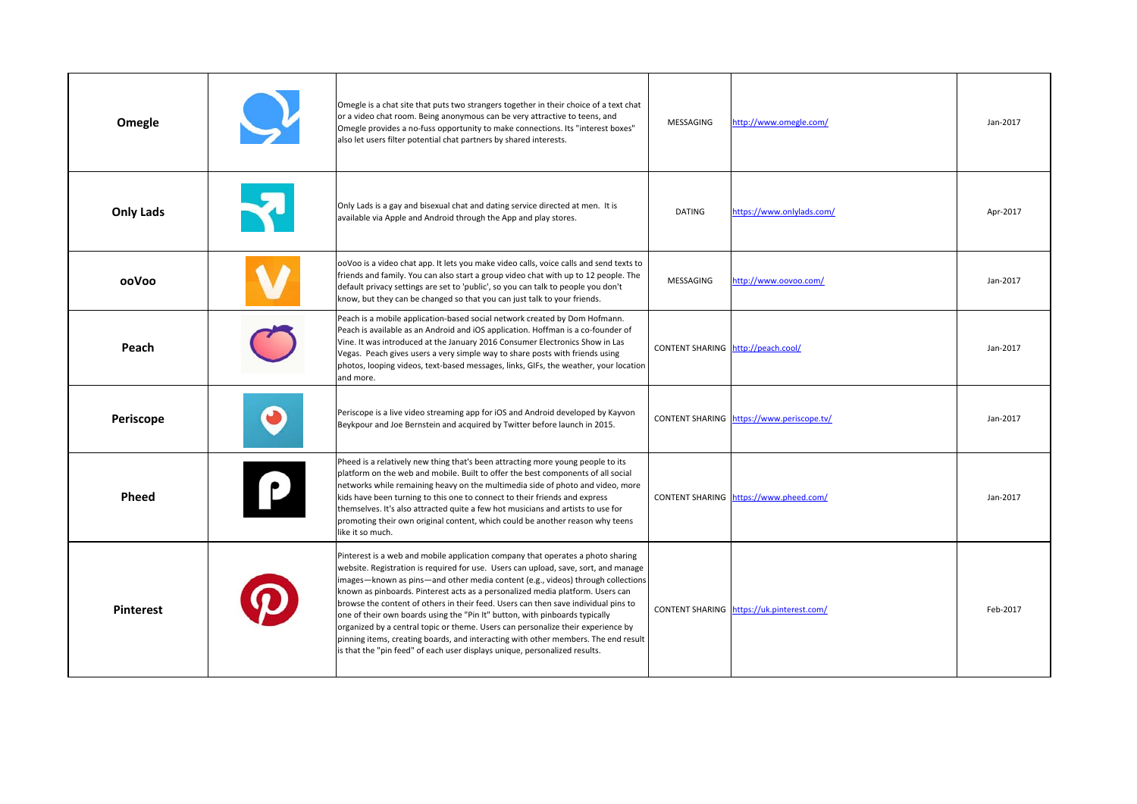| Omegle           | Omegle is a chat site that puts two strangers together in their choice of a text chat<br>or a video chat room. Being anonymous can be very attractive to teens, and<br>Omegle provides a no-fuss opportunity to make connections. Its "interest boxes"<br>also let users filter potential chat partners by shared interests.                                                                                                                                                                                                                                                                                                                                                                                                                                             | MESSAGING                          | http://www.omegle.com/                    | Jan-2017 |
|------------------|--------------------------------------------------------------------------------------------------------------------------------------------------------------------------------------------------------------------------------------------------------------------------------------------------------------------------------------------------------------------------------------------------------------------------------------------------------------------------------------------------------------------------------------------------------------------------------------------------------------------------------------------------------------------------------------------------------------------------------------------------------------------------|------------------------------------|-------------------------------------------|----------|
| <b>Only Lads</b> | Only Lads is a gay and bisexual chat and dating service directed at men. It is<br>available via Apple and Android through the App and play stores.                                                                                                                                                                                                                                                                                                                                                                                                                                                                                                                                                                                                                       | <b>DATING</b>                      | https://www.onlylads.com/                 | Apr-2017 |
| ooVoo            | ooVoo is a video chat app. It lets you make video calls, voice calls and send texts to<br>friends and family. You can also start a group video chat with up to 12 people. The<br>default privacy settings are set to 'public', so you can talk to people you don't<br>know, but they can be changed so that you can just talk to your friends.                                                                                                                                                                                                                                                                                                                                                                                                                           | MESSAGING                          | http://www.oovoo.com/                     | Jan-2017 |
| Peach            | Peach is a mobile application-based social network created by Dom Hofmann.<br>Peach is available as an Android and iOS application. Hoffman is a co-founder of<br>Vine. It was introduced at the January 2016 Consumer Electronics Show in Las<br>Vegas. Peach gives users a very simple way to share posts with friends using<br>photos, looping videos, text-based messages, links, GIFs, the weather, your location<br>and more.                                                                                                                                                                                                                                                                                                                                      | CONTENT SHARING http://peach.cool/ |                                           | Jan-2017 |
| Periscope        | Periscope is a live video streaming app for iOS and Android developed by Kayvon<br>Beykpour and Joe Bernstein and acquired by Twitter before launch in 2015.                                                                                                                                                                                                                                                                                                                                                                                                                                                                                                                                                                                                             |                                    | CONTENT SHARING https://www.periscope.tv/ | Jan-2017 |
| Pheed            | Pheed is a relatively new thing that's been attracting more young people to its<br>platform on the web and mobile. Built to offer the best components of all social<br>networks while remaining heavy on the multimedia side of photo and video, more<br>kids have been turning to this one to connect to their friends and express<br>themselves. It's also attracted quite a few hot musicians and artists to use for<br>promoting their own original content, which could be another reason why teens<br>like it so much.                                                                                                                                                                                                                                             |                                    | CONTENT SHARING https://www.pheed.com/    | Jan-2017 |
| <b>Pinterest</b> | Pinterest is a web and mobile application company that operates a photo sharing<br>website. Registration is required for use. Users can upload, save, sort, and manage<br>images—known as pins—and other media content (e.g., videos) through collections<br>known as pinboards. Pinterest acts as a personalized media platform. Users can<br>browse the content of others in their feed. Users can then save individual pins to<br>one of their own boards using the "Pin It" button, with pinboards typically<br>organized by a central topic or theme. Users can personalize their experience by<br>pinning items, creating boards, and interacting with other members. The end result<br>is that the "pin feed" of each user displays unique, personalized results. | <b>CONTENT SHARING</b>             | https://uk.pinterest.com/                 | Feb-2017 |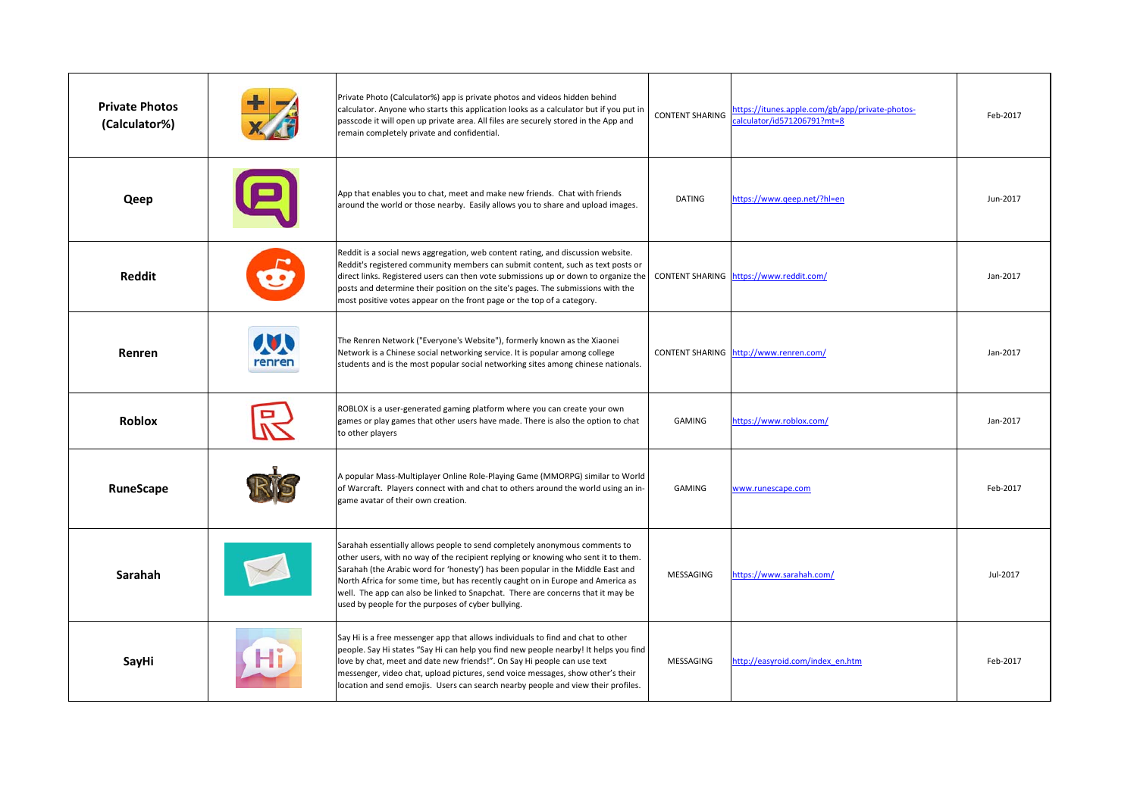| <b>Private Photos</b><br>(Calculator%) |        | Private Photo (Calculator%) app is private photos and videos hidden behind<br>calculator. Anyone who starts this application looks as a calculator but if you put in<br>passcode it will open up private area. All files are securely stored in the App and<br>remain completely private and confidential.                                                                                                                                                                      | <b>CONTENT SHARING</b> | https://itunes.apple.com/gb/app/private-photos-<br>alculator/id571206791?mt=8 | Feb-2017 |
|----------------------------------------|--------|---------------------------------------------------------------------------------------------------------------------------------------------------------------------------------------------------------------------------------------------------------------------------------------------------------------------------------------------------------------------------------------------------------------------------------------------------------------------------------|------------------------|-------------------------------------------------------------------------------|----------|
| Qeep                                   |        | App that enables you to chat, meet and make new friends. Chat with friends<br>around the world or those nearby. Easily allows you to share and upload images.                                                                                                                                                                                                                                                                                                                   | DATING                 | https://www.geep.net/?hl=en                                                   | Jun-2017 |
| <b>Reddit</b>                          |        | Reddit is a social news aggregation, web content rating, and discussion website.<br>Reddit's registered community members can submit content, such as text posts or<br>direct links. Registered users can then vote submissions up or down to organize the<br>posts and determine their position on the site's pages. The submissions with the<br>most positive votes appear on the front page or the top of a category.                                                        |                        | CONTENT SHARING https://www.reddit.com/                                       | Jan-2017 |
| Renren                                 | renren | The Renren Network ("Everyone's Website"), formerly known as the Xiaonei<br>Network is a Chinese social networking service. It is popular among college<br>students and is the most popular social networking sites among chinese nationals.                                                                                                                                                                                                                                    |                        | CONTENT SHARING http://www.renren.com/                                        | Jan-2017 |
| <b>Roblox</b>                          |        | ROBLOX is a user-generated gaming platform where you can create your own<br>games or play games that other users have made. There is also the option to chat<br>to other players                                                                                                                                                                                                                                                                                                | GAMING                 | https://www.roblox.com/                                                       | Jan-2017 |
| RuneScape                              |        | A popular Mass-Multiplayer Online Role-Playing Game (MMORPG) similar to World<br>of Warcraft. Players connect with and chat to others around the world using an in-<br>game avatar of their own creation.                                                                                                                                                                                                                                                                       | <b>GAMING</b>          | www.runescape.com                                                             | Feb-2017 |
| Sarahah                                |        | Sarahah essentially allows people to send completely anonymous comments to<br>other users, with no way of the recipient replying or knowing who sent it to them.<br>Sarahah (the Arabic word for 'honesty') has been popular in the Middle East and<br>North Africa for some time, but has recently caught on in Europe and America as<br>well. The app can also be linked to Snapchat. There are concerns that it may be<br>used by people for the purposes of cyber bullying. | MESSAGING              | https://www.sarahah.com/                                                      | Jul-2017 |
| SayHi                                  |        | Say Hi is a free messenger app that allows individuals to find and chat to other<br>people. Say Hi states "Say Hi can help you find new people nearby! It helps you find<br>love by chat, meet and date new friends!". On Say Hi people can use text<br>messenger, video chat, upload pictures, send voice messages, show other's their<br>location and send emojis. Users can search nearby people and view their profiles.                                                    | MESSAGING              | http://easyroid.com/index en.htm                                              | Feb-2017 |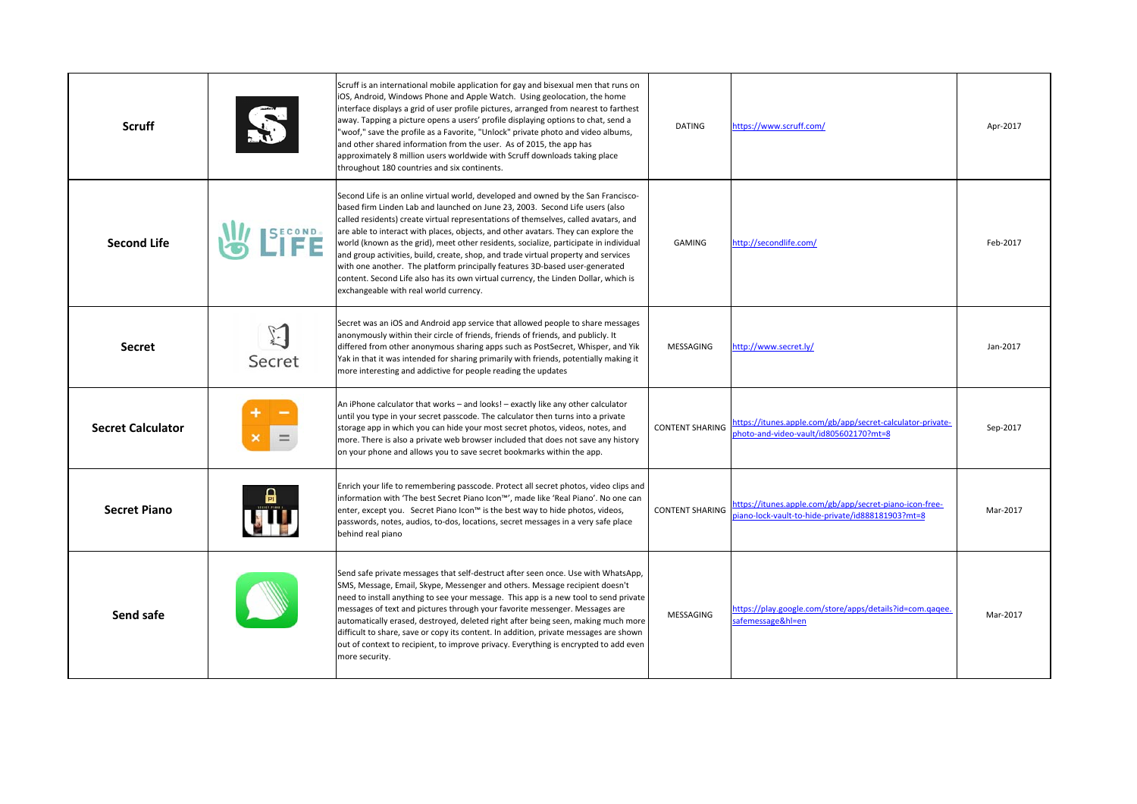| <b>Scruff</b>            |            | Scruff is an international mobile application for gay and bisexual men that runs on<br>iOS, Android, Windows Phone and Apple Watch. Using geolocation, the home<br>interface displays a grid of user profile pictures, arranged from nearest to farthest<br>away. Tapping a picture opens a users' profile displaying options to chat, send a<br>"woof," save the profile as a Favorite, "Unlock" private photo and video albums,<br>and other shared information from the user. As of 2015, the app has<br>approximately 8 million users worldwide with Scruff downloads taking place<br>throughout 180 countries and six continents.                                                                                                        | <b>DATING</b>          | https://www.scruff.com/                                                                                     | Apr-2017 |
|--------------------------|------------|-----------------------------------------------------------------------------------------------------------------------------------------------------------------------------------------------------------------------------------------------------------------------------------------------------------------------------------------------------------------------------------------------------------------------------------------------------------------------------------------------------------------------------------------------------------------------------------------------------------------------------------------------------------------------------------------------------------------------------------------------|------------------------|-------------------------------------------------------------------------------------------------------------|----------|
| <b>Second Life</b>       | $E^{COND}$ | Second Life is an online virtual world, developed and owned by the San Francisco-<br>based firm Linden Lab and launched on June 23, 2003. Second Life users (also<br>called residents) create virtual representations of themselves, called avatars, and<br>are able to interact with places, objects, and other avatars. They can explore the<br>world (known as the grid), meet other residents, socialize, participate in individual<br>and group activities, build, create, shop, and trade virtual property and services<br>with one another. The platform principally features 3D-based user-generated<br>content. Second Life also has its own virtual currency, the Linden Dollar, which is<br>exchangeable with real world currency. | <b>GAMING</b>          | http://secondlife.com/                                                                                      | Feb-2017 |
| <b>Secret</b>            | Secret     | Secret was an iOS and Android app service that allowed people to share messages<br>anonymously within their circle of friends, friends of friends, and publicly. It<br>differed from other anonymous sharing apps such as PostSecret, Whisper, and Yik<br>Yak in that it was intended for sharing primarily with friends, potentially making it<br>more interesting and addictive for people reading the updates                                                                                                                                                                                                                                                                                                                              | MESSAGING              | ttp://www.secret.ly/                                                                                        | Jan-2017 |
| <b>Secret Calculator</b> |            | An iPhone calculator that works - and looks! - exactly like any other calculator<br>until you type in your secret passcode. The calculator then turns into a private<br>storage app in which you can hide your most secret photos, videos, notes, and<br>more. There is also a private web browser included that does not save any history<br>on your phone and allows you to save secret bookmarks within the app.                                                                                                                                                                                                                                                                                                                           | <b>CONTENT SHARING</b> | https://itunes.apple.com/gb/app/secret-calculator-private-<br>hoto-and-video-vault/id805602170?mt=8         | Sep-2017 |
| <b>Secret Piano</b>      |            | Enrich your life to remembering passcode. Protect all secret photos, video clips and<br>information with 'The best Secret Piano Icon™', made like 'Real Piano'. No one can<br>enter, except you. Secret Piano Icon™ is the best way to hide photos, videos,<br>passwords, notes, audios, to-dos, locations, secret messages in a very safe place<br>behind real piano                                                                                                                                                                                                                                                                                                                                                                         | <b>CONTENT SHARING</b> | https://itunes.apple.com/gb/app/secret-piano-icon-free-<br>iano-lock-vault-to-hide-private/id888181903?mt=8 | Mar-2017 |
| Send safe                |            | Send safe private messages that self-destruct after seen once. Use with WhatsApp,<br>SMS, Message, Email, Skype, Messenger and others. Message recipient doesn't<br>need to install anything to see your message. This app is a new tool to send private<br>messages of text and pictures through your favorite messenger. Messages are<br>automatically erased, destroyed, deleted right after being seen, making much more<br>difficult to share, save or copy its content. In addition, private messages are shown<br>out of context to recipient, to improve privacy. Everything is encrypted to add even<br>more security.                                                                                                               | MESSAGING              | .1ttps://play.google.com/store/apps/details?id=com.gagee<br>afemessage&hl=en                                | Mar-2017 |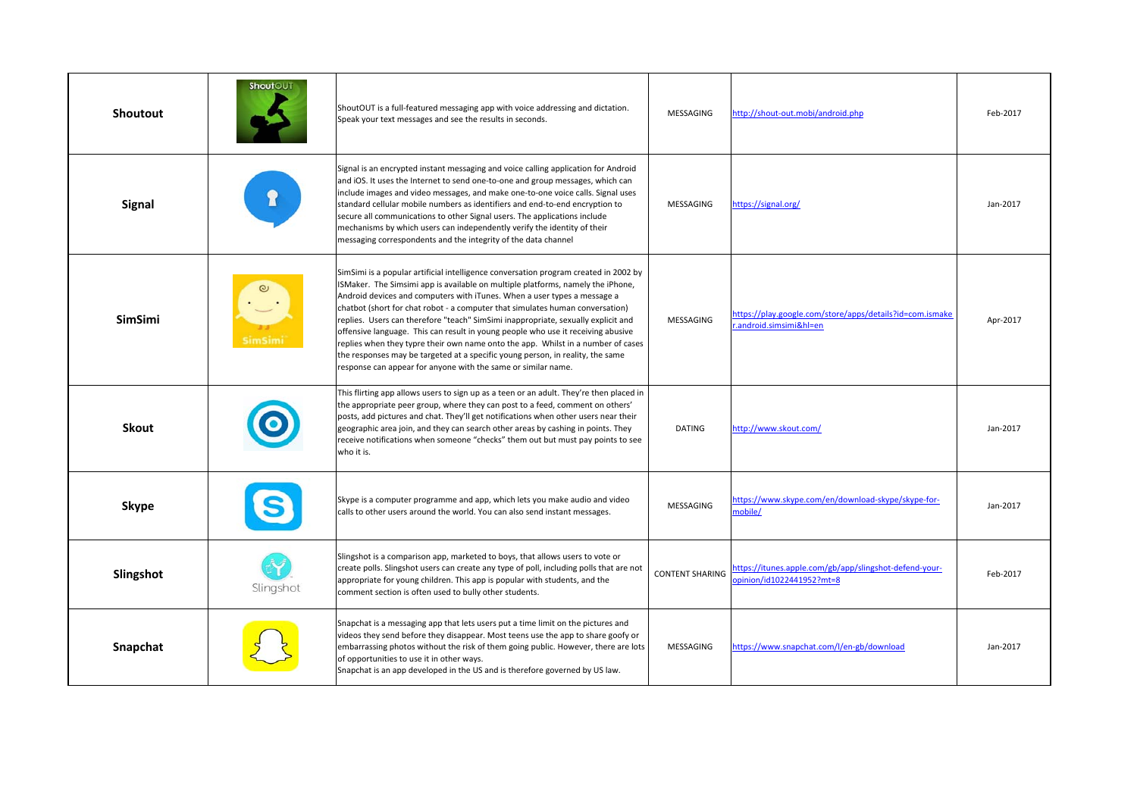| <b>Shoutout</b> | <b>ShoutOUT</b> | ShoutOUT is a full-featured messaging app with voice addressing and dictation.<br>Speak your text messages and see the results in seconds.                                                                                                                                                                                                                                                                                                                                                                                                                                                                                                                                                                                                          | MESSAGING              | http://shout-out.mobi/android.php                                                  | Feb-2017 |
|-----------------|-----------------|-----------------------------------------------------------------------------------------------------------------------------------------------------------------------------------------------------------------------------------------------------------------------------------------------------------------------------------------------------------------------------------------------------------------------------------------------------------------------------------------------------------------------------------------------------------------------------------------------------------------------------------------------------------------------------------------------------------------------------------------------------|------------------------|------------------------------------------------------------------------------------|----------|
| Signal          |                 | Signal is an encrypted instant messaging and voice calling application for Android<br>and iOS. It uses the Internet to send one-to-one and group messages, which can<br>include images and video messages, and make one-to-one voice calls. Signal uses<br>standard cellular mobile numbers as identifiers and end-to-end encryption to<br>secure all communications to other Signal users. The applications include<br>mechanisms by which users can independently verify the identity of their<br>messaging correspondents and the integrity of the data channel                                                                                                                                                                                  | MESSAGING              | https://signal.org/                                                                | Jan-2017 |
| <b>SimSimi</b>  | <b>SimSimi</b>  | SimSimi is a popular artificial intelligence conversation program created in 2002 by<br>SMaker. The Simsimi app is available on multiple platforms, namely the iPhone,<br>Android devices and computers with iTunes. When a user types a message a<br>chatbot (short for chat robot - a computer that simulates human conversation)<br>replies. Users can therefore "teach" SimSimi inappropriate, sexually explicit and<br>offensive language. This can result in young people who use it receiving abusive<br>replies when they typre their own name onto the app. Whilst in a number of cases<br>the responses may be targeted at a specific young person, in reality, the same<br>response can appear for anyone with the same or similar name. | MESSAGING              | https://play.google.com/store/apps/details?id=com.ismake<br>android.simsimi&hl=en  | Apr-2017 |
| <b>Skout</b>    |                 | This flirting app allows users to sign up as a teen or an adult. They're then placed in<br>the appropriate peer group, where they can post to a feed, comment on others'<br>posts, add pictures and chat. They'll get notifications when other users near their<br>geographic area join, and they can search other areas by cashing in points. They<br>receive notifications when someone "checks" them out but must pay points to see<br>who it is.                                                                                                                                                                                                                                                                                                | <b>DATING</b>          | nttp://www.skout.com/                                                              | Jan-2017 |
| <b>Skype</b>    |                 | Skype is a computer programme and app, which lets you make audio and video<br>calls to other users around the world. You can also send instant messages.                                                                                                                                                                                                                                                                                                                                                                                                                                                                                                                                                                                            | MESSAGING              | https://www.skype.com/en/download-skype/skype-for-<br>nobile/                      | Jan-2017 |
| Slingshot       | Slingshot       | Slingshot is a comparison app, marketed to boys, that allows users to vote or<br>create polls. Slingshot users can create any type of poll, including polls that are not<br>appropriate for young children. This app is popular with students, and the<br>comment section is often used to bully other students.                                                                                                                                                                                                                                                                                                                                                                                                                                    | <b>CONTENT SHARING</b> | https://itunes.apple.com/gb/app/slingshot-defend-your-<br>pinion/id1022441952?mt=8 | Feb-2017 |
| Snapchat        |                 | Snapchat is a messaging app that lets users put a time limit on the pictures and<br>videos they send before they disappear. Most teens use the app to share goofy or<br>embarrassing photos without the risk of them going public. However, there are lots<br>of opportunities to use it in other ways.<br>Snapchat is an app developed in the US and is therefore governed by US law.                                                                                                                                                                                                                                                                                                                                                              | MESSAGING              | https://www.snapchat.com/l/en-gb/download                                          | Jan-2017 |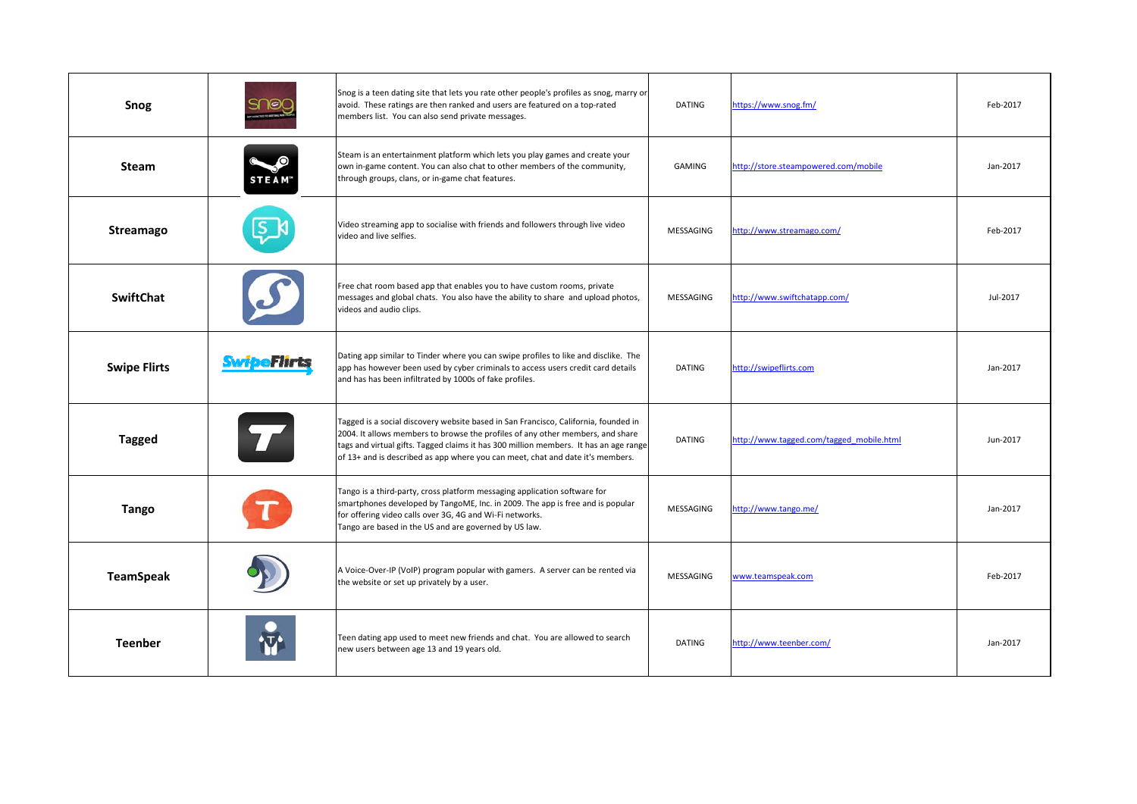| Snog                |                    | Snog is a teen dating site that lets you rate other people's profiles as snog, marry or<br>avoid. These ratings are then ranked and users are featured on a top-rated<br>members list. You can also send private messages.                                                                                                                       | <b>DATING</b>    | https://www.snog.fm/                     | Feb-2017 |
|---------------------|--------------------|--------------------------------------------------------------------------------------------------------------------------------------------------------------------------------------------------------------------------------------------------------------------------------------------------------------------------------------------------|------------------|------------------------------------------|----------|
| <b>Steam</b>        | <b>STEAM</b>       | Steam is an entertainment platform which lets you play games and create your<br>own in-game content. You can also chat to other members of the community,<br>through groups, clans, or in-game chat features.                                                                                                                                    | GAMING           | http://store.steampowered.com/mobile     | Jan-2017 |
| Streamago           |                    | Video streaming app to socialise with friends and followers through live video<br>video and live selfies.                                                                                                                                                                                                                                        | <b>MESSAGING</b> | http://www.streamago.com/                | Feb-2017 |
| <b>SwiftChat</b>    |                    | Free chat room based app that enables you to have custom rooms, private<br>messages and global chats. You also have the ability to share and upload photos,<br>videos and audio clips.                                                                                                                                                           | MESSAGING        | http://www.swiftchatapp.com/             | Jul-2017 |
| <b>Swipe Flirts</b> | <b>SwipeFlirts</b> | Dating app similar to Tinder where you can swipe profiles to like and disclike. The<br>app has however been used by cyber criminals to access users credit card details<br>and has has been infiltrated by 1000s of fake profiles.                                                                                                               | <b>DATING</b>    | http://swipeflirts.com                   | Jan-2017 |
| <b>Tagged</b>       |                    | Tagged is a social discovery website based in San Francisco, California, founded in<br>2004. It allows members to browse the profiles of any other members, and share<br>tags and virtual gifts. Tagged claims it has 300 million members. It has an age range<br>of 13+ and is described as app where you can meet, chat and date it's members. | <b>DATING</b>    | http://www.tagged.com/tagged mobile.html | Jun-2017 |
| <b>Tango</b>        |                    | Tango is a third-party, cross platform messaging application software for<br>smartphones developed by TangoME, Inc. in 2009. The app is free and is popular<br>for offering video calls over 3G, 4G and Wi-Fi networks.<br>Tango are based in the US and are governed by US law.                                                                 | <b>MESSAGING</b> | http://www.tango.me/                     | Jan-2017 |
| <b>TeamSpeak</b>    |                    | A Voice-Over-IP (VoIP) program popular with gamers. A server can be rented via<br>the website or set up privately by a user.                                                                                                                                                                                                                     | MESSAGING        | www.teamspeak.com                        | Feb-2017 |
| <b>Teenber</b>      |                    | Teen dating app used to meet new friends and chat. You are allowed to search<br>new users between age 13 and 19 years old.                                                                                                                                                                                                                       | <b>DATING</b>    | http://www.teenber.com/                  | Jan-2017 |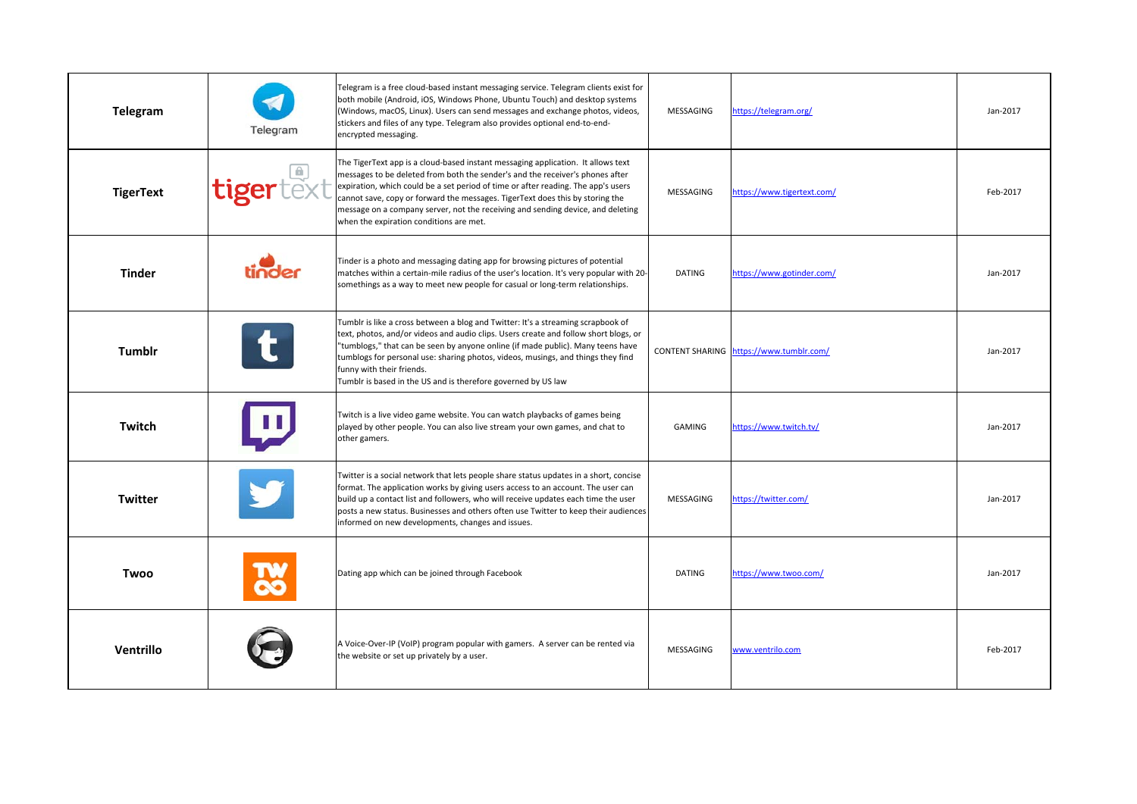| Telegram         | Telegram          | Telegram is a free cloud-based instant messaging service. Telegram clients exist for<br>both mobile (Android, iOS, Windows Phone, Ubuntu Touch) and desktop systems<br>(Windows, macOS, Linux). Users can send messages and exchange photos, videos,<br>stickers and files of any type. Telegram also provides optional end-to-end-<br>encrypted messaging.                                                                                                           | MESSAGING     | https://telegram.org/                   | Jan-2017 |
|------------------|-------------------|-----------------------------------------------------------------------------------------------------------------------------------------------------------------------------------------------------------------------------------------------------------------------------------------------------------------------------------------------------------------------------------------------------------------------------------------------------------------------|---------------|-----------------------------------------|----------|
| <b>TigerText</b> | <i>Itigertext</i> | The TigerText app is a cloud-based instant messaging application. It allows text<br>messages to be deleted from both the sender's and the receiver's phones after<br>expiration, which could be a set period of time or after reading. The app's users<br>cannot save, copy or forward the messages. TigerText does this by storing the<br>message on a company server, not the receiving and sending device, and deleting<br>when the expiration conditions are met. | MESSAGING     | https://www.tigertext.com/              | Feb-2017 |
| <b>Tinder</b>    |                   | Tinder is a photo and messaging dating app for browsing pictures of potential<br>matches within a certain-mile radius of the user's location. It's very popular with 20-<br>somethings as a way to meet new people for casual or long-term relationships.                                                                                                                                                                                                             | DATING        | https://www.gotinder.com/               | Jan-2017 |
| Tumblr           |                   | Tumblr is like a cross between a blog and Twitter: It's a streaming scrapbook of<br>text, photos, and/or videos and audio clips. Users create and follow short blogs, or<br>"tumblogs," that can be seen by anyone online (if made public). Many teens have<br>tumblogs for personal use: sharing photos, videos, musings, and things they find<br>funny with their friends.<br>Tumblr is based in the US and is therefore governed by US law                         |               | CONTENT SHARING https://www.tumblr.com/ | Jan-2017 |
| Twitch           |                   | Twitch is a live video game website. You can watch playbacks of games being<br>played by other people. You can also live stream your own games, and chat to<br>other gamers.                                                                                                                                                                                                                                                                                          | GAMING        | https://www.twitch.tv/                  | Jan-2017 |
| <b>Twitter</b>   |                   | Twitter is a social network that lets people share status updates in a short, concise<br>format. The application works by giving users access to an account. The user can<br>build up a contact list and followers, who will receive updates each time the user<br>posts a new status. Businesses and others often use Twitter to keep their audiences<br>informed on new developments, changes and issues.                                                           | MESSAGING     | https://twitter.com/                    | Jan-2017 |
| <b>Twoo</b>      |                   | Dating app which can be joined through Facebook                                                                                                                                                                                                                                                                                                                                                                                                                       | <b>DATING</b> | https://www.twoo.com/                   | Jan-2017 |
| Ventrillo        |                   | A Voice-Over-IP (VoIP) program popular with gamers. A server can be rented via<br>the website or set up privately by a user.                                                                                                                                                                                                                                                                                                                                          | MESSAGING     | www.ventrilo.com                        | Feb-2017 |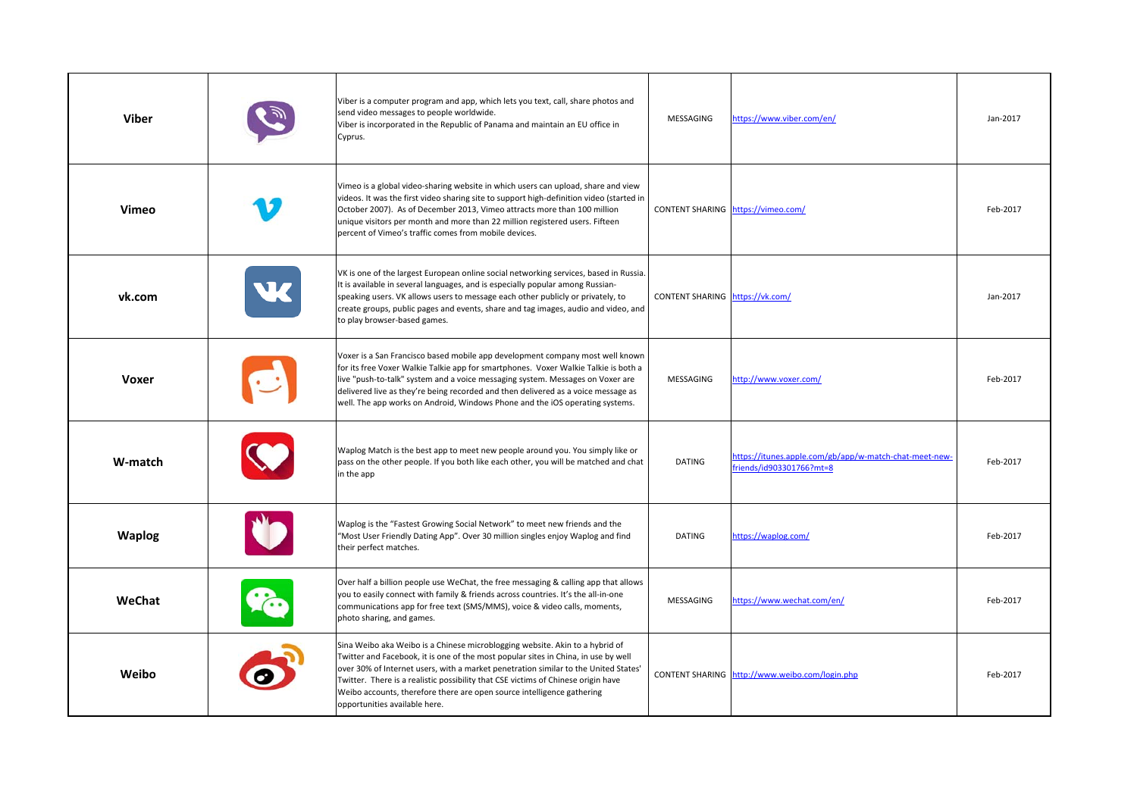| Viber         | Viber is a computer program and app, which lets you text, call, share photos and<br>send video messages to people worldwide.<br>Viber is incorporated in the Republic of Panama and maintain an EU office in<br>Cyprus.                                                                                                                                                                                                                                   | MESSAGING                       | https://www.viber.com/en/                                                          | Jan-2017 |
|---------------|-----------------------------------------------------------------------------------------------------------------------------------------------------------------------------------------------------------------------------------------------------------------------------------------------------------------------------------------------------------------------------------------------------------------------------------------------------------|---------------------------------|------------------------------------------------------------------------------------|----------|
| Vimeo         | Vimeo is a global video-sharing website in which users can upload, share and view<br>videos. It was the first video sharing site to support high-definition video (started in<br>October 2007). As of December 2013, Vimeo attracts more than 100 million<br>unique visitors per month and more than 22 million registered users. Fifteen<br>percent of Vimeo's traffic comes from mobile devices.                                                        |                                 | CONTENT SHARING https://vimeo.com/                                                 | Feb-2017 |
| vk.com        | VK is one of the largest European online social networking services, based in Russia.<br>It is available in several languages, and is especially popular among Russian-<br>speaking users. VK allows users to message each other publicly or privately, to<br>create groups, public pages and events, share and tag images, audio and video, and<br>to play browser-based games.                                                                          | CONTENT SHARING https://vk.com/ |                                                                                    | Jan-2017 |
| <b>Voxer</b>  | Voxer is a San Francisco based mobile app development company most well known<br>for its free Voxer Walkie Talkie app for smartphones. Voxer Walkie Talkie is both a<br>live "push-to-talk" system and a voice messaging system. Messages on Voxer are<br>delivered live as they're being recorded and then delivered as a voice message as<br>well. The app works on Android, Windows Phone and the iOS operating systems.                               | MESSAGING                       | http://www.voxer.com/                                                              | Feb-2017 |
| W-match       | Waplog Match is the best app to meet new people around you. You simply like or<br>pass on the other people. If you both like each other, you will be matched and chat<br>in the app                                                                                                                                                                                                                                                                       | <b>DATING</b>                   | https://itunes.apple.com/gb/app/w-match-chat-meet-new-<br>friends/id903301766?mt=8 | Feb-2017 |
| <b>Waplog</b> | Waplog is the "Fastest Growing Social Network" to meet new friends and the<br>"Most User Friendly Dating App". Over 30 million singles enjoy Waplog and find<br>their perfect matches.                                                                                                                                                                                                                                                                    | <b>DATING</b>                   | https://waplog.com/                                                                | Feb-2017 |
| WeChat        | Over half a billion people use WeChat, the free messaging & calling app that allows<br>you to easily connect with family & friends across countries. It's the all-in-one<br>communications app for free text (SMS/MMS), voice & video calls, moments,<br>photo sharing, and games.                                                                                                                                                                        | MESSAGING                       | https://www.wechat.com/en/                                                         | Feb-2017 |
| Weibo         | Sina Weibo aka Weibo is a Chinese microblogging website. Akin to a hybrid of<br>Twitter and Facebook, it is one of the most popular sites in China, in use by well<br>over 30% of Internet users, with a market penetration similar to the United States'<br>Twitter. There is a realistic possibility that CSE victims of Chinese origin have<br>Weibo accounts, therefore there are open source intelligence gathering<br>opportunities available here. |                                 | CONTENT SHARING http://www.weibo.com/login.php                                     | Feb-2017 |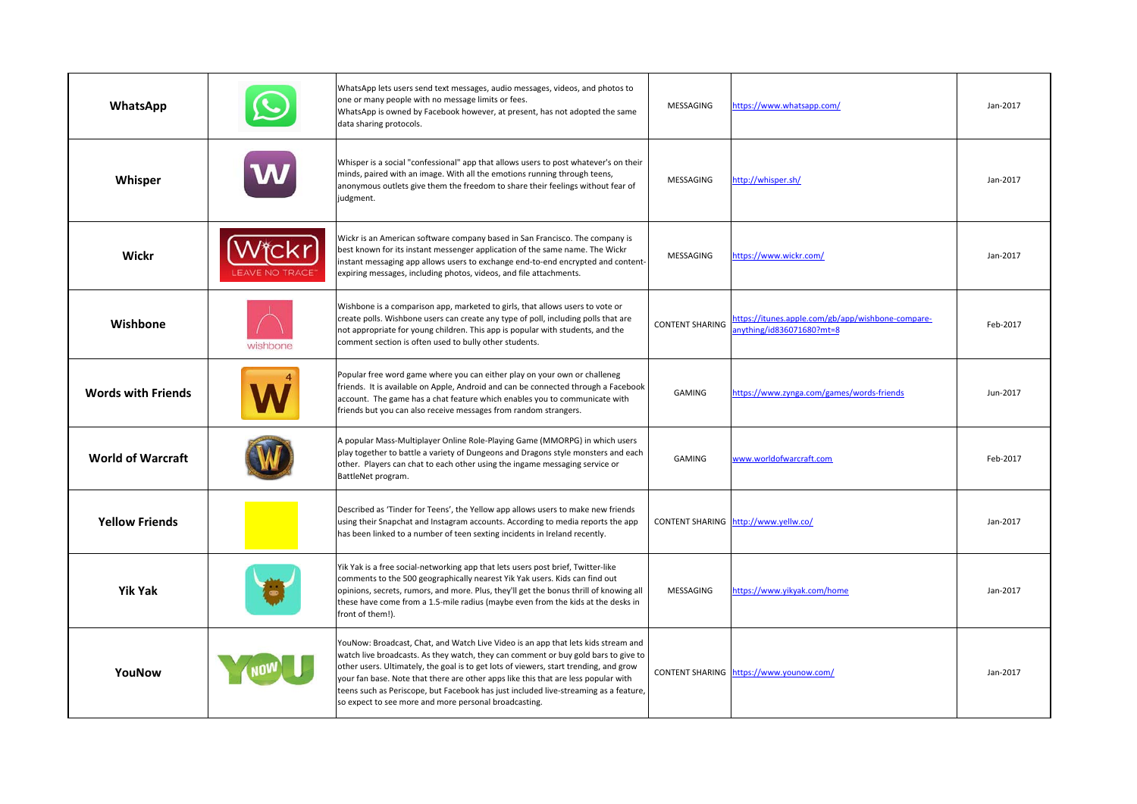| WhatsApp                  |          | WhatsApp lets users send text messages, audio messages, videos, and photos to<br>one or many people with no message limits or fees.<br>WhatsApp is owned by Facebook however, at present, has not adopted the same<br>data sharing protocols.                                                                                                                                                                                                                                                           | MESSAGING              | https://www.whatsapp.com/                                                     | Jan-2017 |
|---------------------------|----------|---------------------------------------------------------------------------------------------------------------------------------------------------------------------------------------------------------------------------------------------------------------------------------------------------------------------------------------------------------------------------------------------------------------------------------------------------------------------------------------------------------|------------------------|-------------------------------------------------------------------------------|----------|
| Whisper                   |          | Whisper is a social "confessional" app that allows users to post whatever's on their<br>minds, paired with an image. With all the emotions running through teens,<br>anonymous outlets give them the freedom to share their feelings without fear of<br>judgment.                                                                                                                                                                                                                                       | MESSAGING              | http://whisper.sh/                                                            | Jan-2017 |
| Wickr                     |          | Wickr is an American software company based in San Francisco. The company is<br>best known for its instant messenger application of the same name. The Wickr<br>nstant messaging app allows users to exchange end-to-end encrypted and content-<br>expiring messages, including photos, videos, and file attachments.                                                                                                                                                                                   | MESSAGING              | https://www.wickr.com/                                                        | Jan-2017 |
| Wishbone                  | wishbone | Wishbone is a comparison app, marketed to girls, that allows users to vote or<br>create polls. Wishbone users can create any type of poll, including polls that are<br>not appropriate for young children. This app is popular with students, and the<br>comment section is often used to bully other students.                                                                                                                                                                                         | <b>CONTENT SHARING</b> | https://itunes.apple.com/gb/app/wishbone-compare-<br>nything/id836071680?mt=8 | Feb-2017 |
| <b>Words with Friends</b> |          | Popular free word game where you can either play on your own or challeneg<br>friends. It is available on Apple, Android and can be connected through a Facebook<br>account. The game has a chat feature which enables you to communicate with<br>friends but you can also receive messages from random strangers.                                                                                                                                                                                       | <b>GAMING</b>          | https://www.zynga.com/games/words-friends                                     | Jun-2017 |
| <b>World of Warcraft</b>  |          | A popular Mass-Multiplayer Online Role-Playing Game (MMORPG) in which users<br>play together to battle a variety of Dungeons and Dragons style monsters and each<br>other. Players can chat to each other using the ingame messaging service or<br>BattleNet program.                                                                                                                                                                                                                                   | GAMING                 | www.worldofwarcraft.com                                                       | Feb-2017 |
| <b>Yellow Friends</b>     |          | Described as 'Tinder for Teens', the Yellow app allows users to make new friends<br>using their Snapchat and Instagram accounts. According to media reports the app<br>has been linked to a number of teen sexting incidents in Ireland recently.                                                                                                                                                                                                                                                       |                        | CONTENT SHARING http://www.yellw.co/                                          | Jan-2017 |
| Yik Yak                   |          | Yik Yak is a free social-networking app that lets users post brief, Twitter-like<br>comments to the 500 geographically nearest Yik Yak users. Kids can find out<br>opinions, secrets, rumors, and more. Plus, they'll get the bonus thrill of knowing all<br>these have come from a 1.5-mile radius (maybe even from the kids at the desks in<br>front of them!).                                                                                                                                       | MESSAGING              | nttps://www.yikyak.com/home                                                   | Jan-2017 |
| YouNow                    |          | YouNow: Broadcast, Chat, and Watch Live Video is an app that lets kids stream and<br>watch live broadcasts. As they watch, they can comment or buy gold bars to give to<br>other users. Ultimately, the goal is to get lots of viewers, start trending, and grow<br>your fan base. Note that there are other apps like this that are less popular with<br>teens such as Periscope, but Facebook has just included live-streaming as a feature,<br>so expect to see more and more personal broadcasting. |                        | CONTENT SHARING https://www.younow.com/                                       | Jan-2017 |